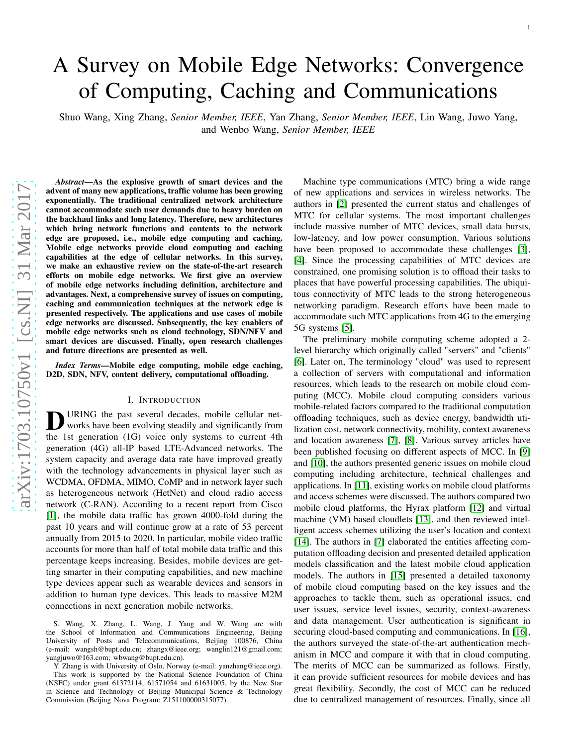# A Survey on Mobile Edge Networks: Convergence of Computing, Caching and Communications

Shuo Wang, Xing Zhang, *Senior Member, IEEE*, Yan Zhang, *Senior Member, IEEE*, Lin Wang, Juwo Yang, and Wenbo Wang, *Senior Member, IEEE*

*Abstract*—As the explosive growth of smart devices and the advent of many new applications, traffic volume has been growing exponentially. The traditional centralized network architecture cannot accommodate such user demands due to heavy burden on the backhaul links and long latency. Therefore, new architectures which bring network functions and contents to the network edge are proposed, i.e., mobile edge computing and caching. Mobile edge networks provide cloud computing and caching capabilities at the edge of cellular networks. In this survey, we make an exhaustive review on the state-of-the-art research efforts on mobile edge networks. We first give an overview of mobile edge networks including definition, architecture and advantages. Next, a comprehensive survey of issues on computing, caching and communication techniques at the network edge is presented respectively. The applications and use cases of mobile edge networks are discussed. Subsequently, the key enablers of mobile edge networks such as cloud technology, SDN/NFV and smart devices are discussed. Finally, open research challenges and future directions are presented as well.

*Index Terms*—Mobile edge computing, mobile edge caching, D2D, SDN, NFV, content delivery, computational offloading.

#### I. INTRODUCTION

**D** URING the past several decades, mobile cellular net-<br>works have been evolving steadily and significantly from<br>the 1st generation (1G) voice only systems to current 4th URING the past several decades, mobile cellular networks have been evolving steadily and significantly from generation (4G) all-IP based LTE-Advanced networks. The system capacity and average data rate have improved greatly with the technology advancements in physical layer such as WCDMA, OFDMA, MIMO, CoMP and in network layer such as heterogeneous network (HetNet) and cloud radio access network (C-RAN). According to a recent report from Cisco [\[1\]](#page-17-0), the mobile data traffic has grown 4000-fold during the past 10 years and will continue grow at a rate of 53 percent annually from 2015 to 2020. In particular, mobile video traffic accounts for more than half of total mobile data traffic and this percentage keeps increasing. Besides, mobile devices are getting smarter in their computing capabilities, and new machine type devices appear such as wearable devices and sensors in addition to human type devices. This leads to massive M2M connections in next generation mobile networks.

S. Wang, X. Zhang, L. Wang, J. Yang and W. Wang are with the School of Information and Communications Engineering, Beijing University of Posts and Telecommunications, Beijing 100876, China (e-mail: wangsh@bupt.edu.cn; zhangx@ieee.org; wanglin121@gmail.com; yangjuwo@163.com; wbwang@bupt.edu.cn).

Y. Zhang is with University of Oslo, Norway (e-mail: yanzhang@ieee.org). This work is supported by the National Science Foundation of China (NSFC) under grant 61372114, 61571054 and 61631005, by the New Star in Science and Technology of Beijing Municipal Science & Technology Commission (Beijing Nova Program: Z151100000315077).

Machine type communications (MTC) bring a wide range of new applications and services in wireless networks. The authors in [\[2\]](#page-17-1) presented the current status and challenges o f MTC for cellular systems. The most important challenges include massive number of MTC devices, small data bursts, low-latency, and low power consumption. Various solutions have been proposed to accommodate these challenges [\[3\]](#page-17-2), [\[4\]](#page-17-3). Since the processing capabilities of MTC devices are constrained, one promising solution is to offload their tasks to places that have powerful processing capabilities. The ubiquitous connectivity of MTC leads to the strong heterogeneous networking paradigm. Research efforts have been made to accommodate such MTC applications from 4G to the emerging 5G systems [\[5\]](#page-17-4).

The preliminary mobile computing scheme adopted a 2 level hierarchy which originally called "servers" and "clients" [\[6\]](#page-17-5). Later on, The terminology "cloud" was used to represent a collection of servers with computational and information resources, which leads to the research on mobile cloud computing (MCC). Mobile cloud computing considers various mobile-related factors compared to the traditional computation offloading techniques, such as device energy, bandwidth uti lization cost, network connectivity, mobility, context awareness and location awareness [\[7\]](#page-17-6), [\[8\]](#page-17-7). Various survey articles have been published focusing on different aspects of MCC. In [\[9\]](#page-17-8) and [\[10\]](#page-17-9), the authors presented generic issues on mobile cloud computing including architecture, technical challenges and applications. In [\[11\]](#page-17-10), existing works on mobile cloud platforms and access schemes were discussed. The authors compared two mobile cloud platforms, the Hyrax platform [\[12\]](#page-17-11) and virtual machine (VM) based cloudlets [\[13\]](#page-17-12), and then reviewed intelligent access schemes utilizing the user's location and context [\[14\]](#page-17-13). The authors in [\[7\]](#page-17-6) elaborated the entities affecting computation offloading decision and presented detailed application models classification and the latest mobile cloud application models. The authors in [\[15\]](#page-17-14) presented a detailed taxonomy of mobile cloud computing based on the key issues and the approaches to tackle them, such as operational issues, end user issues, service level issues, security, context-awareness and data management. User authentication is significant in securing cloud-based computing and communications. In [\[16\]](#page-17-15), the authors surveyed the state-of-the-art authentication mechanism in MCC and compare it with that in cloud computing. The merits of MCC can be summarized as follows. Firstly, it can provide sufficient resources for mobile devices and ha s great flexibility. Secondly, the cost of MCC can be reduced due to centralized management of resources. Finally, since all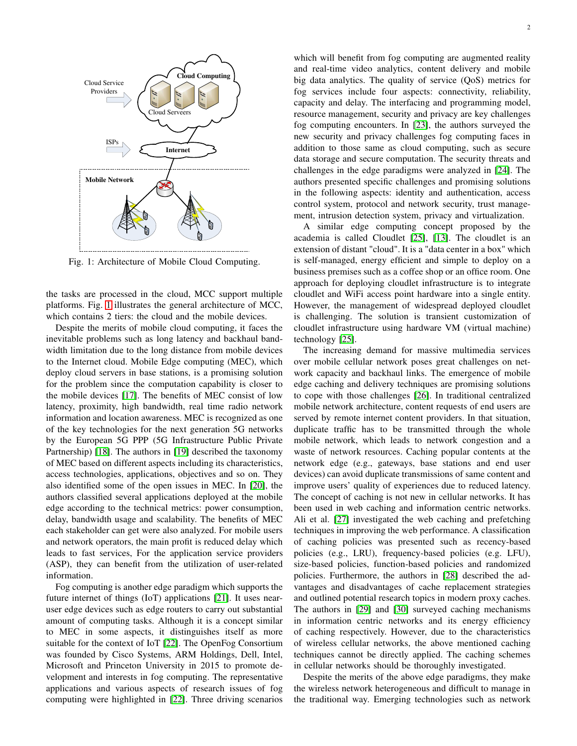<span id="page-1-0"></span>

Fig. 1: Architecture of Mobile Cloud Computing.

the tasks are processed in the cloud, MCC support multiple platforms. Fig. [1](#page-1-0) illustrates the general architecture of MCC, which contains 2 tiers: the cloud and the mobile devices.

Despite the merits of mobile cloud computing, it faces the inevitable problems such as long latency and backhaul bandwidth limitation due to the long distance from mobile devices to the Internet cloud. Mobile Edge computing (MEC), which deploy cloud servers in base stations, is a promising solution for the problem since the computation capability is closer to the mobile devices [\[17\]](#page-17-16). The benefits of MEC consist of low latency, proximity, high bandwidth, real time radio network information and location awareness. MEC is recognized as one of the key technologies for the next generation 5G networks by the European 5G PPP (5G Infrastructure Public Private Partnership) [\[18\]](#page-17-17). The authors in [\[19\]](#page-17-18) described the taxonomy of MEC based on different aspects including its characteristics, access technologies, applications, objectives and so on. They also identified some of the open issues in MEC. In [\[20\]](#page-17-19), the authors classified several applications deployed at the mobile edge according to the technical metrics: power consumption, delay, bandwidth usage and scalability. The benefits of MEC each stakeholder can get were also analyzed. For mobile users and network operators, the main profit is reduced delay which leads to fast services, For the application service providers (ASP), they can benefit from the utilization of user-related information.

Fog computing is another edge paradigm which supports the future internet of things (IoT) applications [\[21\]](#page-17-20). It uses nearuser edge devices such as edge routers to carry out substantial amount of computing tasks. Although it is a concept similar to MEC in some aspects, it distinguishes itself as more suitable for the context of IoT [\[22\]](#page-17-21). The OpenFog Consortium was founded by Cisco Systems, ARM Holdings, Dell, Intel, Microsoft and Princeton University in 2015 to promote development and interests in fog computing. The representative applications and various aspects of research issues of fog computing were highlighted in [\[22\]](#page-17-21). Three driving scenarios

which will benefit from fog computing are augmented reality and real-time video analytics, content delivery and mobile big data analytics. The quality of service (QoS) metrics for fog services include four aspects: connectivity, reliability, capacity and delay. The interfacing and programming model, resource management, security and privacy are key challenges fog computing encounters. In [\[23\]](#page-17-22), the authors surveyed the new security and privacy challenges fog computing faces in addition to those same as cloud computing, such as secure data storage and secure computation. The security threats and challenges in the edge paradigms were analyzed in [\[24\]](#page-17-23). The authors presented specific challenges and promising solutions in the following aspects: identity and authentication, access control system, protocol and network security, trust management, intrusion detection system, privacy and virtualization.

A similar edge computing concept proposed by the academia is called Cloudlet [\[25\]](#page-17-24), [\[13\]](#page-17-12). The cloudlet is an extension of distant "cloud". It is a "data center in a box" which is self-managed, energy efficient and simple to deploy on a business premises such as a coffee shop or an office room. One approach for deploying cloudlet infrastructure is to integrate cloudlet and WiFi access point hardware into a single entity. However, the management of widespread deployed cloudlet is challenging. The solution is transient customization of cloudlet infrastructure using hardware VM (virtual machine) technology [\[25\]](#page-17-24).

The increasing demand for massive multimedia services over mobile cellular network poses great challenges on network capacity and backhaul links. The emergence of mobile edge caching and delivery techniques are promising solutions to cope with those challenges [\[26\]](#page-17-25). In traditional centralized mobile network architecture, content requests of end users are served by remote internet content providers. In that situation, duplicate traffic has to be transmitted through the whole mobile network, which leads to network congestion and a waste of network resources. Caching popular contents at the network edge (e.g., gateways, base stations and end user devices) can avoid duplicate transmissions of same content and improve users' quality of experiences due to reduced latency. The concept of caching is not new in cellular networks. It has been used in web caching and information centric networks. Ali et al. [\[27\]](#page-17-26) investigated the web caching and prefetching techniques in improving the web performance. A classification of caching policies was presented such as recency-based policies (e.g., LRU), frequency-based policies (e.g. LFU), size-based policies, function-based policies and randomized policies. Furthermore, the authors in [\[28\]](#page-17-27) described the advantages and disadvantages of cache replacement strategies and outlined potential research topics in modern proxy caches. The authors in [\[29\]](#page-17-28) and [\[30\]](#page-17-29) surveyed caching mechanisms in information centric networks and its energy efficiency of caching respectively. However, due to the characteristics of wireless cellular networks, the above mentioned caching techniques cannot be directly applied. The caching schemes in cellular networks should be thoroughly investigated.

Despite the merits of the above edge paradigms, they make the wireless network heterogeneous and difficult to manage in the traditional way. Emerging technologies such as network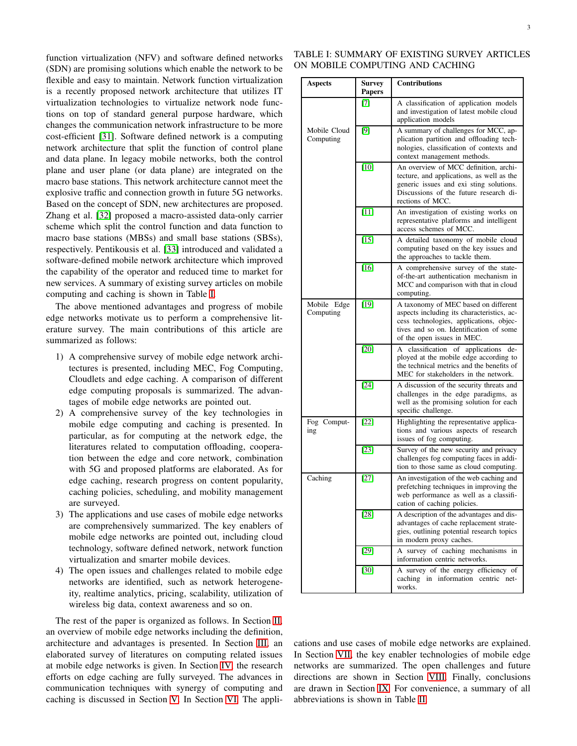function virtualization (NFV) and software defined networks (SDN) are promising solutions which enable the network to be flexible and easy to maintain. Network function virtualization is a recently proposed network architecture that utilizes IT virtualization technologies to virtualize network node functions on top of standard general purpose hardware, which changes the communication network infrastructure to be more cost-efficient [\[31\]](#page-17-30). Software defined network is a computing network architecture that split the function of control plane and data plane. In legacy mobile networks, both the control plane and user plane (or data plane) are integrated on the macro base stations. This network architecture cannot meet the explosive traffic and connection growth in future 5G networks. Based on the concept of SDN, new architectures are proposed. Zhang et al. [\[32\]](#page-17-31) proposed a macro-assisted data-only carrier scheme which split the control function and data function to macro base stations (MBSs) and small base stations (SBSs), respectively. Pentikousis et al. [\[33\]](#page-17-32) introduced and validated a software-defined mobile network architecture which improved the capability of the operator and reduced time to market for new services. A summary of existing survey articles on mobile computing and caching is shown in Table [I.](#page-2-0)

The above mentioned advantages and progress of mobile edge networks motivate us to perform a comprehensive literature survey. The main contributions of this article are summarized as follows:

- 1) A comprehensive survey of mobile edge network architectures is presented, including MEC, Fog Computing, Cloudlets and edge caching. A comparison of different edge computing proposals is summarized. The advantages of mobile edge networks are pointed out.
- 2) A comprehensive survey of the key technologies in mobile edge computing and caching is presented. In particular, as for computing at the network edge, the literatures related to computation offloading, cooperation between the edge and core network, combination with 5G and proposed platforms are elaborated. As for edge caching, research progress on content popularity, caching policies, scheduling, and mobility management are surveyed.
- 3) The applications and use cases of mobile edge networks are comprehensively summarized. The key enablers of mobile edge networks are pointed out, including cloud technology, software defined network, network function virtualization and smarter mobile devices.
- 4) The open issues and challenges related to mobile edge networks are identified, such as network heterogeneity, realtime analytics, pricing, scalability, utilization of wireless big data, context awareness and so on.

The rest of the paper is organized as follows. In Section [II,](#page-3-0) an overview of mobile edge networks including the definition, architecture and advantages is presented. In Section [III,](#page-5-0) an elaborated survey of literatures on computing related issues at mobile edge networks is given. In Section [IV,](#page-8-0) the research efforts on edge caching are fully surveyed. The advances in communication techniques with synergy of computing and caching is discussed in Section [V.](#page-11-0) In Section [VI,](#page-12-0) The appli-

<span id="page-2-0"></span>

| <b>Aspects</b>            | Survey<br><b>Papers</b> | <b>Contributions</b>                                                                                                                                                                                   |  |
|---------------------------|-------------------------|--------------------------------------------------------------------------------------------------------------------------------------------------------------------------------------------------------|--|
|                           | $[7]$                   | A classification of application models<br>and investigation of latest mobile cloud<br>application models                                                                                               |  |
| Mobile Cloud<br>Computing | $[9]$                   | A summary of challenges for MCC, ap-<br>plication partition and offloading tech-<br>nologies, classification of contexts and<br>context management methods.                                            |  |
|                           | $[10]$                  | An overview of MCC definition, archi-<br>tecture, and applications, as well as the<br>generic issues and exi sting solutions.<br>Discussions of the future research di-<br>rections of MCC.            |  |
|                           | $[11]$                  | An investigation of existing works on<br>representative platforms and intelligent<br>access schemes of MCC.                                                                                            |  |
|                           | $[15]$                  | A detailed taxonomy of mobile cloud<br>computing based on the key issues and<br>the approaches to tackle them.                                                                                         |  |
|                           | $[16]$                  | A comprehensive survey of the state-<br>of-the-art authentication mechanism in<br>MCC and comparison with that in cloud<br>computing.                                                                  |  |
| Mobile Edge<br>Computing  | [19]                    | A taxonomy of MEC based on different<br>aspects including its characteristics, ac-<br>cess technologies, applications, objec-<br>tives and so on. Identification of some<br>of the open issues in MEC. |  |
|                           | [20]                    | classification of<br>applications<br>de-<br>А<br>ployed at the mobile edge according to<br>the technical metrics and the benefits of<br>MEC for stakeholders in the network.                           |  |
|                           | $[24]$                  | A discussion of the security threats and<br>challenges in the edge paradigms, as<br>well as the promising solution for each<br>specific challenge.                                                     |  |
| Fog Comput-<br>ing        | [22]                    | Highlighting the representative applica-<br>tions and various aspects of research<br>issues of fog computing.                                                                                          |  |
|                           | $[23]$                  | Survey of the new security and privacy<br>challenges fog computing faces in addi-<br>tion to those same as cloud computing.                                                                            |  |
| Caching                   | $[27]$                  | An investigation of the web caching and<br>prefetching techniques in improving the<br>web performance as well as a classifi-<br>cation of caching policies.                                            |  |
|                           | [28]                    | A description of the advantages and dis-<br>advantages of cache replacement strate-<br>gies, outlining potential research topics<br>in modern proxy caches.                                            |  |
|                           | $[29]$                  | A survey of caching mechanisms in<br>information centric networks.                                                                                                                                     |  |
|                           | $[30]$                  | A survey of the energy efficiency of<br>caching in information centric net-<br>works.                                                                                                                  |  |

cations and use cases of mobile edge networks are explained. In Section [VII,](#page-14-0) the key enabler technologies of mobile edge networks are summarized. The open challenges and future directions are shown in Section [VIII.](#page-14-1) Finally, conclusions are drawn in Section [IX.](#page-16-0) For convenience, a summary of all abbreviations is shown in Table [II.](#page-3-1)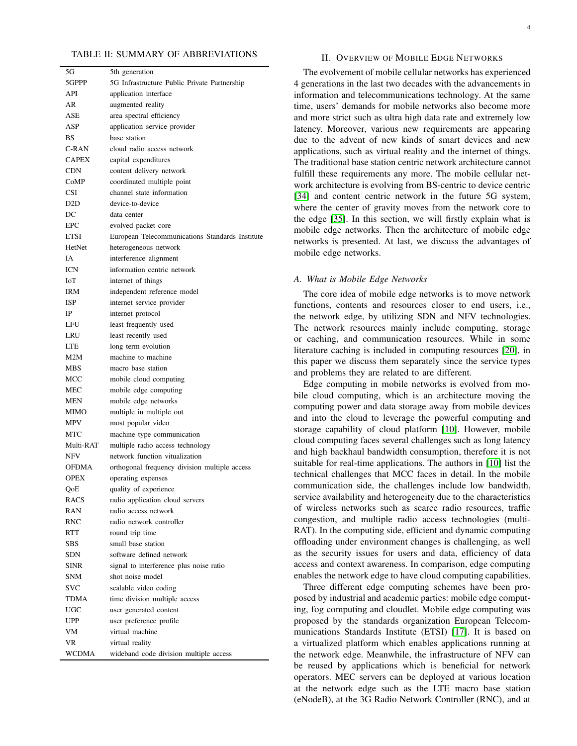#### <span id="page-3-1"></span>TABLE II: SUMMARY OF ABBREVIATIONS

| 5G           | 5th generation                                  |  |
|--------------|-------------------------------------------------|--|
| 5GPPP        | 5G Infrastructure Public Private Partnership    |  |
| API          | application interface                           |  |
| AR           | augmented reality                               |  |
| ASE          | area spectral efficiency                        |  |
| ASP          | application service provider                    |  |
| BS           | base station                                    |  |
| C-RAN        | cloud radio access network                      |  |
| <b>CAPEX</b> | capital expenditures                            |  |
| CDN          | content delivery network                        |  |
| CoMP         | coordinated multiple point                      |  |
| <b>CSI</b>   | channel state information                       |  |
| D2D          | device-to-device                                |  |
| DC           | data center                                     |  |
| <b>EPC</b>   | evolved packet core                             |  |
| <b>ETSI</b>  | European Telecommunications Standards Institute |  |
| HetNet       | heterogeneous network                           |  |
| ĪΑ           | interference alignment                          |  |
| ICN          | information centric network                     |  |
| ЮI           | internet of things                              |  |
| IRM          | independent reference model                     |  |
| ISP          | internet service provider                       |  |
| IP           | internet protocol                               |  |
| LFU          |                                                 |  |
|              | least frequently used                           |  |
| LRU          | least recently used                             |  |
| LTE          | long term evolution                             |  |
| M2M          | machine to machine                              |  |
| MBS          | macro base station                              |  |
| MCC          | mobile cloud computing                          |  |
| MEC          | mobile edge computing                           |  |
| MEN          | mobile edge networks                            |  |
| MIMO         | multiple in multiple out                        |  |
| MPV          | most popular video                              |  |
| MTC          | machine type communication                      |  |
| Multi-RAT    | multiple radio access technology                |  |
| NFV          | network function vitualization                  |  |
| <b>OFDMA</b> | orthogonal frequency division multiple access   |  |
| <b>OPEX</b>  | operating expenses                              |  |
| QoE          | quality of experience                           |  |
| RACS         | radio application cloud servers                 |  |
| RAN          | radio access network                            |  |
| RNC          | radio network controller                        |  |
| RTT          | round trip time                                 |  |
| SBS          | small base station                              |  |
| SDN          | software defined network                        |  |
| SINR         | signal to interference plus noise ratio         |  |
| SNM          | shot noise model                                |  |
| svc          | scalable video coding                           |  |
| TDMA         | time division multiple access                   |  |
| <b>UGC</b>   | user generated content                          |  |
| UPP          | user preference profile                         |  |
| VM           | virtual machine                                 |  |
| VR.          | virtual reality                                 |  |
| WCDMA        | wideband code division multiple access          |  |
|              |                                                 |  |

## II. OVERVIEW OF MOBILE EDGE NETWORKS

The evolvement of mobile cellular networks has experienced 4 generations in the last two decades with the advancements in information and telecommunications technology. At the same time, users' demands for mobile networks also become more and more strict such as ultra high data rate and extremely low latency. Moreover, various new requirements are appearing due to the advent of new kinds of smart devices and new applications, such as virtual reality and the internet of things. The traditional base station centric network architecture cannot fulfill these requirements any more. The mobile cellular network architecture is evolving from BS-centric to device centric [\[34\]](#page-17-33) and content centric network in the future 5G system, where the center of gravity moves from the network core to the edge [\[35\]](#page-17-34). In this section, we will firstly explain what is mobile edge networks. Then the architecture of mobile edge networks is presented. At last, we discuss the advantages of mobile edge networks.

## *A. What is Mobile Edge Networks*

The core idea of mobile edge networks is to move network functions, contents and resources closer to end users, i.e., the network edge, by utilizing SDN and NFV technologies. The network resources mainly include computing, storage or caching, and communication resources. While in some literature caching is included in computing resources [\[20\]](#page-17-19), in this paper we discuss them separately since the service types and problems they are related to are different.

Edge computing in mobile networks is evolved from mobile cloud computing, which is an architecture moving the computing power and data storage away from mobile devices and into the cloud to leverage the powerful computing and storage capability of cloud platform [\[10\]](#page-17-9). However, mobile cloud computing faces several challenges such as long latency and high backhaul bandwidth consumption, therefore it is not suitable for real-time applications. The authors in [\[10\]](#page-17-9) list the technical challenges that MCC faces in detail. In the mobile communication side, the challenges include low bandwidth, service availability and heterogeneity due to the characteristics of wireless networks such as scarce radio resources, traffic congestion, and multiple radio access technologies (multi-RAT). In the computing side, efficient and dynamic computing offloading under environment changes is challenging, as well as the security issues for users and data, efficiency of data access and context awareness. In comparison, edge computing enables the network edge to have cloud computing capabilities.

<span id="page-3-0"></span>Three different edge computing schemes have been proposed by industrial and academic parties: mobile edge computing, fog computing and cloudlet. Mobile edge computing was proposed by the standards organization European Telecommunications Standards Institute (ETSI) [\[17\]](#page-17-16). It is based on a virtualized platform which enables applications running at the network edge. Meanwhile, the infrastructure of NFV can be reused by applications which is beneficial for network operators. MEC servers can be deployed at various location at the network edge such as the LTE macro base station (eNodeB), at the 3G Radio Network Controller (RNC), and at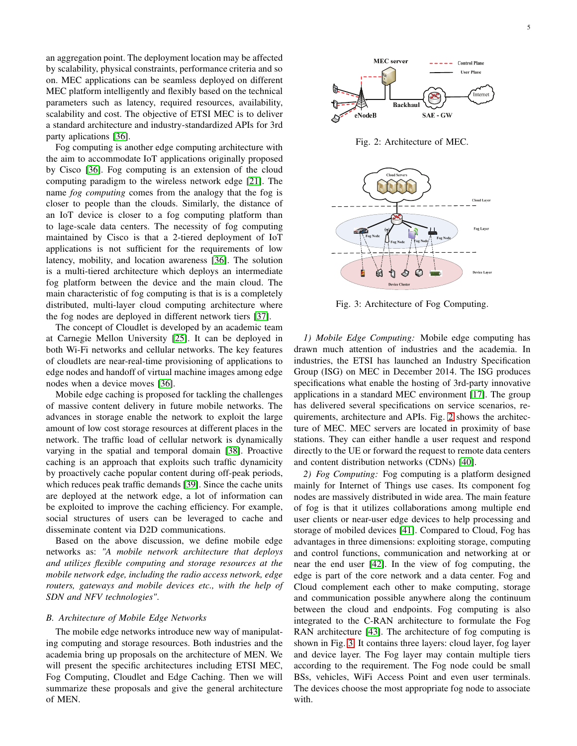an aggregation point. The deployment location may be affected by scalability, physical constraints, performance criteria and so on. MEC applications can be seamless deployed on different MEC platform intelligently and flexibly based on the technical parameters such as latency, required resources, availability, scalability and cost. The objective of ETSI MEC is to deliver a standard architecture and industry-standardized APIs for 3rd party aplications [\[36\]](#page-17-35).

Fog computing is another edge computing architecture with the aim to accommodate IoT applications originally proposed by Cisco [\[36\]](#page-17-35). Fog computing is an extension of the cloud computing paradigm to the wireless network edge [\[21\]](#page-17-20). The name *fog computing* comes from the analogy that the fog is closer to people than the clouds. Similarly, the distance of an IoT device is closer to a fog computing platform than to lage-scale data centers. The necessity of fog computing maintained by Cisco is that a 2-tiered deployment of IoT applications is not sufficient for the requirements of low latency, mobility, and location awareness [\[36\]](#page-17-35). The solution is a multi-tiered architecture which deploys an intermediate fog platform between the device and the main cloud. The main characteristic of fog computing is that is is a completely distributed, multi-layer cloud computing architecture where the fog nodes are deployed in different network tiers [\[37\]](#page-17-36).

The concept of Cloudlet is developed by an academic team at Carnegie Mellon University [\[25\]](#page-17-24). It can be deployed in both Wi-Fi networks and cellular networks. The key features of cloudlets are near-real-time provisioning of applications to edge nodes and handoff of virtual machine images among edge nodes when a device moves [\[36\]](#page-17-35).

Mobile edge caching is proposed for tackling the challenges of massive content delivery in future mobile networks. The advances in storage enable the network to exploit the large amount of low cost storage resources at different places in the network. The traffic load of cellular network is dynamically varying in the spatial and temporal domain [\[38\]](#page-17-37). Proactive caching is an approach that exploits such traffic dynamicity by proactively cache popular content during off-peak periods, which reduces peak traffic demands [\[39\]](#page-17-38). Since the cache units are deployed at the network edge, a lot of information can be exploited to improve the caching efficiency. For example, social structures of users can be leveraged to cache and disseminate content via D2D communications.

Based on the above discussion, we define mobile edge networks as: *"A mobile network architecture that deploys and utilizes flexible computing and storage resources at the mobile network edge, including the radio access network, edge routers, gateways and mobile devices etc., with the help of SDN and NFV technologies"*.

#### *B. Architecture of Mobile Edge Networks*

The mobile edge networks introduce new way of manipulating computing and storage resources. Both industries and the academia bring up proposals on the architecture of MEN. We will present the specific architectures including ETSI MEC, Fog Computing, Cloudlet and Edge Caching. Then we will summarize these proposals and give the general architecture of MEN.

<span id="page-4-0"></span>

Fig. 2: Architecture of MEC.

<span id="page-4-1"></span>

Fig. 3: Architecture of Fog Computing.

*1) Mobile Edge Computing:* Mobile edge computing has drawn much attention of industries and the academia. In industries, the ETSI has launched an Industry Specification Group (ISG) on MEC in December 2014. The ISG produces specifications what enable the hosting of 3rd-party innovative applications in a standard MEC environment [\[17\]](#page-17-16). The group has delivered several specifications on service scenarios, requirements, architecture and APIs. Fig. [2](#page-4-0) shows the architecture of MEC. MEC servers are located in proximity of base stations. They can either handle a user request and respond directly to the UE or forward the request to remote data centers and content distribution networks (CDNs) [\[40\]](#page-17-39).

*2) Fog Computing:* Fog computing is a platform designed mainly for Internet of Things use cases. Its component fog nodes are massively distributed in wide area. The main feature of fog is that it utilizes collaborations among multiple end user clients or near-user edge devices to help processing and storage of mobiled devices [\[41\]](#page-17-40). Compared to Cloud, Fog has advantages in three dimensions: exploiting storage, computing and control functions, communication and networking at or near the end user [\[42\]](#page-17-41). In the view of fog computing, the edge is part of the core network and a data center. Fog and Cloud complement each other to make computing, storage and communication possible anywhere along the continuum between the cloud and endpoints. Fog computing is also integrated to the C-RAN architecture to formulate the Fog RAN architecture [\[43\]](#page-17-42). The architecture of fog computing is shown in Fig. [3.](#page-4-1) It contains three layers: cloud layer, fog layer and device layer. The Fog layer may contain multiple tiers according to the requirement. The Fog node could be small BSs, vehicles, WiFi Access Point and even user terminals. The devices choose the most appropriate fog node to associate with.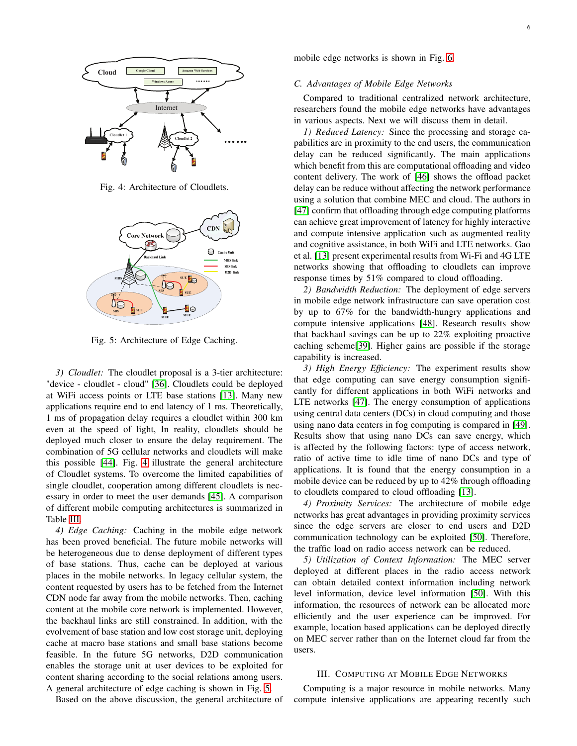<span id="page-5-1"></span>

Fig. 4: Architecture of Cloudlets.

<span id="page-5-2"></span>

Fig. 5: Architecture of Edge Caching.

*3) Cloudlet:* The cloudlet proposal is a 3-tier architecture: "device - cloudlet - cloud" [\[36\]](#page-17-35). Cloudlets could be deployed at WiFi access points or LTE base stations [\[13\]](#page-17-12). Many new applications require end to end latency of 1 ms. Theoretically, 1 ms of propagation delay requires a cloudlet within 300 km even at the speed of light, In reality, cloudlets should be deployed much closer to ensure the delay requirement. The combination of 5G cellular networks and cloudlets will make this possible [\[44\]](#page-17-43). Fig. [4](#page-5-1) illustrate the general architecture of Cloudlet systems. To overcome the limited capabilities of single cloudlet, cooperation among different cloudlets is necessary in order to meet the user demands [\[45\]](#page-17-44). A comparison of different mobile computing architectures is summarized in Table [III.](#page-6-0)

*4) Edge Caching:* Caching in the mobile edge network has been proved beneficial. The future mobile networks will be heterogeneous due to dense deployment of different types of base stations. Thus, cache can be deployed at various places in the mobile networks. In legacy cellular system, the content requested by users has to be fetched from the Internet CDN node far away from the mobile networks. Then, caching content at the mobile core network is implemented. However, the backhaul links are still constrained. In addition, with the evolvement of base station and low cost storage unit, deploying cache at macro base stations and small base stations become feasible. In the future 5G networks, D2D communication enables the storage unit at user devices to be exploited for content sharing according to the social relations among users. A general architecture of edge caching is shown in Fig. [5.](#page-5-2)

Based on the above discussion, the general architecture of

mobile edge networks is shown in Fig. [6.](#page-6-1)

#### *C. Advantages of Mobile Edge Networks*

Compared to traditional centralized network architecture, researchers found the mobile edge networks have advantages in various aspects. Next we will discuss them in detail.

*1) Reduced Latency:* Since the processing and storage capabilities are in proximity to the end users, the communication delay can be reduced significantly. The main applications which benefit from this are computational offloading and video content delivery. The work of [\[46\]](#page-17-45) shows the offload packet delay can be reduce without affecting the network performance using a solution that combine MEC and cloud. The authors in [\[47\]](#page-18-0) confirm that offloading through edge computing platforms can achieve great improvement of latency for highly interactive and compute intensive application such as augmented reality and cognitive assistance, in both WiFi and LTE networks. Gao et al. [\[13\]](#page-17-12) present experimental results from Wi-Fi and 4G LTE networks showing that offloading to cloudlets can improve response times by 51% compared to cloud offloading.

*2) Bandwidth Reduction:* The deployment of edge servers in mobile edge network infrastructure can save operation cost by up to 67% for the bandwidth-hungry applications and compute intensive applications [\[48\]](#page-18-1). Research results show that backhaul savings can be up to 22% exploiting proactive caching scheme[\[39\]](#page-17-38). Higher gains are possible if the storage capability is increased.

*3) High Energy Efficiency:* The experiment results show that edge computing can save energy consumption significantly for different applications in both WiFi networks and LTE networks [\[47\]](#page-18-0). The energy consumption of applications using central data centers (DCs) in cloud computing and those using nano data centers in fog computing is compared in [\[49\]](#page-18-2). Results show that using nano DCs can save energy, which is affected by the following factors: type of access network, ratio of active time to idle time of nano DCs and type of applications. It is found that the energy consumption in a mobile device can be reduced by up to 42% through offloading to cloudlets compared to cloud offloading [\[13\]](#page-17-12).

*4) Proximity Services:* The architecture of mobile edge networks has great advantages in providing proximity services since the edge servers are closer to end users and D2D communication technology can be exploited [\[50\]](#page-18-3). Therefore, the traffic load on radio access network can be reduced.

*5) Utilization of Context Information:* The MEC server deployed at different places in the radio access network can obtain detailed context information including network level information, device level information [\[50\]](#page-18-3). With this information, the resources of network can be allocated more efficiently and the user experience can be improved. For example, location based applications can be deployed directly on MEC server rather than on the Internet cloud far from the users.

#### <span id="page-5-0"></span>III. COMPUTING AT MOBILE EDGE NETWORKS

Computing is a major resource in mobile networks. Many compute intensive applications are appearing recently such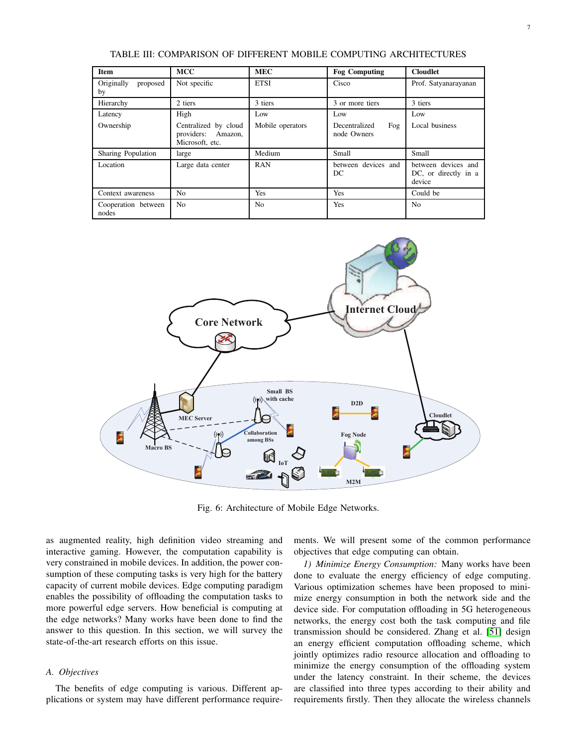<span id="page-6-0"></span>

| Item                         | <b>MCC</b>                                                               | <b>MEC</b>              | <b>Fog Computing</b>                       | <b>Cloudlet</b>                                       |
|------------------------------|--------------------------------------------------------------------------|-------------------------|--------------------------------------------|-------------------------------------------------------|
| Originally<br>proposed<br>by | Not specific                                                             | <b>ETSI</b>             | Cisco                                      | Prof. Satyanarayanan                                  |
| Hierarchy                    | 2 tiers                                                                  | 3 tiers                 | 3 or more tiers                            | 3 tiers                                               |
| Latency<br>Ownership         | High<br>Centralized by cloud<br>providers:<br>Amazon,<br>Microsoft, etc. | Low<br>Mobile operators | Low<br>Decentralized<br>Fog<br>node Owners | Low<br>Local business                                 |
| Sharing Population           | large                                                                    | Medium                  | Small                                      | Small                                                 |
| Location                     | Large data center                                                        | <b>RAN</b>              | between devices and<br>DC                  | between devices and<br>DC, or directly in a<br>device |
| Context awareness            | N <sub>0</sub>                                                           | Yes                     | Yes                                        | Could be                                              |
| Cooperation between<br>nodes | N <sub>0</sub>                                                           | N <sub>0</sub>          | Yes                                        | N <sub>o</sub>                                        |

TABLE III: COMPARISON OF DIFFERENT MOBILE COMPUTING ARCHITECTURES

<span id="page-6-1"></span>

Fig. 6: Architecture of Mobile Edge Networks.

as augmented reality, high definition video streaming and interactive gaming. However, the computation capability is very constrained in mobile devices. In addition, the power consumption of these computing tasks is very high for the battery capacity of current mobile devices. Edge computing paradigm enables the possibility of offloading the computation tasks to more powerful edge servers. How beneficial is computing at the edge networks? Many works have been done to find the answer to this question. In this section, we will survey the state-of-the-art research efforts on this issue.

# *A. Objectives*

The benefits of edge computing is various. Different applications or system may have different performance requirements. We will present some of the common performance objectives that edge computing can obtain.

*1) Minimize Energy Consumption:* Many works have been done to evaluate the energy efficiency of edge computing. Various optimization schemes have been proposed to minimize energy consumption in both the network side and the device side. For computation offloading in 5G heterogeneous networks, the energy cost both the task computing and file transmission should be considered. Zhang et al. [\[51\]](#page-18-4) design an energy efficient computation offloading scheme, which jointly optimizes radio resource allocation and offloading to minimize the energy consumption of the offloading system under the latency constraint. In their scheme, the devices are classified into three types according to their ability and requirements firstly. Then they allocate the wireless channels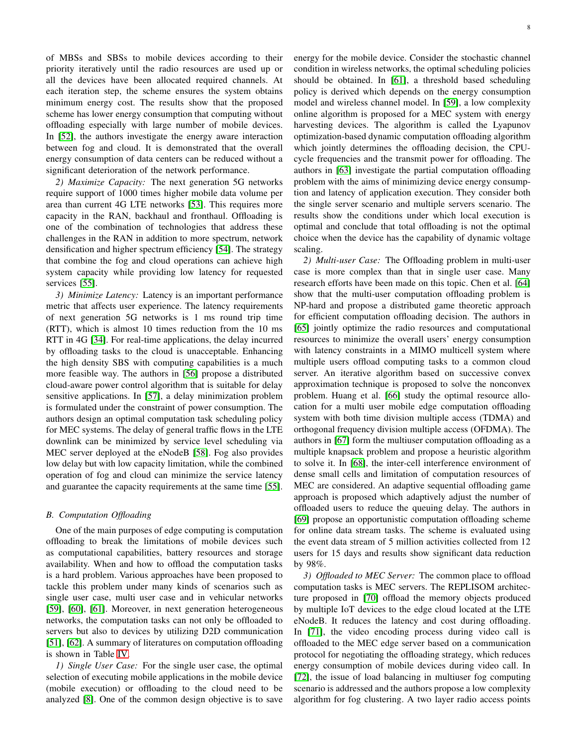of MBSs and SBSs to mobile devices according to their priority iteratively until the radio resources are used up or all the devices have been allocated required channels. At each iteration step, the scheme ensures the system obtains minimum energy cost. The results show that the proposed scheme has lower energy consumption that computing without offloading especially with large number of mobile devices.

In [\[52\]](#page-18-5), the authors investigate the energy aware interaction between fog and cloud. It is demonstrated that the overall energy consumption of data centers can be reduced without a significant deterioration of the network performance. *2) Maximize Capacity:* The next generation 5G networks require support of 1000 times higher mobile data volume per

area than current 4G LTE networks [\[53\]](#page-18-6). This requires more capacity in the RAN, backhaul and fronthaul. Offloading is one of the combination of technologies that address these challenges in the RAN in addition to more spectrum, network densification and higher spectrum efficiency [\[54\]](#page-18-7). The strategy that combine the fog and cloud operations can achieve high system capacity while providing low latency for requested services [\[55\]](#page-18-8).

*3) Minimize Latency:* Latency is an important performance metric that affects user experience. The latency requirements of next generation 5G networks is 1 ms round trip time (RTT), which is almost 10 times reduction from the 10 ms RTT in 4G [\[34\]](#page-17-33). For real-time applications, the delay incurred by offloading tasks to the cloud is unacceptable. Enhancing the high density SBS with computing capabilities is a much more feasible way. The authors in [\[56\]](#page-18-9) propose a distributed cloud-aware power control algorithm that is suitable for delay sensitive applications. In [\[57\]](#page-18-10), a delay minimization problem is formulated under the constraint of power consumption. The authors design an optimal computation task scheduling policy for MEC systems. The delay of general traffic flows in the LTE downlink can be minimized by service level scheduling via MEC server deployed at the eNodeB [\[58\]](#page-18-11). Fog also provides low delay but with low capacity limitation, while the combined operation of fog and cloud can minimize the service latency and guarantee the capacity requirements at the same time [\[55\]](#page-18-8).

## *B. Computation Offloading*

One of the main purposes of edge computing is computation offloading to break the limitations of mobile devices such as computational capabilities, battery resources and storage availability. When and how to offload the computation tasks is a hard problem. Various approaches have been proposed to tackle this problem under many kinds of scenarios such as single user case, multi user case and in vehicular networks [\[59\]](#page-18-12), [\[60\]](#page-18-13), [\[61\]](#page-18-14). Moreover, in next generation heterogeneous networks, the computation tasks can not only be offloaded to servers but also to devices by utilizing D2D communication [\[51\]](#page-18-4), [\[62\]](#page-18-15). A summary of literatures on computation offloading is shown in Table [IV.](#page-9-0)

*1) Single User Case:* For the single user case, the optimal selection of executing mobile applications in the mobile device (mobile execution) or offloading to the cloud need to be analyzed [\[8\]](#page-17-7). One of the common design objective is to save energy for the mobile device. Consider the stochastic channel condition in wireless networks, the optimal scheduling policies should be obtained. In [\[61\]](#page-18-14), a threshold based scheduling policy is derived which depends on the energy consumption model and wireless channel model. In [\[59\]](#page-18-12), a low complexity online algorithm is proposed for a MEC system with energy harvesting devices. The algorithm is called the Lyapunov optimization-based dynamic computation offloading algorithm which jointly determines the offloading decision, the CPUcycle frequencies and the transmit power for offloading. The authors in [\[63\]](#page-18-16) investigate the partial computation offloading problem with the aims of minimizing device energy consumption and latency of application execution. They consider both the single server scenario and multiple servers scenario. The results show the conditions under which local execution is optimal and conclude that total offloading is not the optimal choice when the device has the capability of dynamic voltage scaling.

*2) Multi-user Case:* The Offloading problem in multi-user case is more complex than that in single user case. Many research efforts have been made on this topic. Chen et al. [\[64\]](#page-18-17) show that the multi-user computation offloading problem is NP-hard and propose a distributed game theoretic approach for efficient computation offloading decision. The authors in [\[65\]](#page-18-18) jointly optimize the radio resources and computational resources to minimize the overall users' energy consumption with latency constraints in a MIMO multicell system where multiple users offload computing tasks to a common cloud server. An iterative algorithm based on successive convex approximation technique is proposed to solve the nonconvex problem. Huang et al. [\[66\]](#page-18-19) study the optimal resource allocation for a multi user mobile edge computation offloading system with both time division multiple access (TDMA) and orthogonal frequency division multiple access (OFDMA). The authors in [\[67\]](#page-18-20) form the multiuser computation offloading as a multiple knapsack problem and propose a heuristic algorithm to solve it. In [\[68\]](#page-18-21), the inter-cell interference environment of dense small cells and limitation of computation resources of MEC are considered. An adaptive sequential offloading game approach is proposed which adaptively adjust the number of offloaded users to reduce the queuing delay. The authors in [\[69\]](#page-18-22) propose an opportunistic computation offloading scheme for online data stream tasks. The scheme is evaluated using the event data stream of 5 million activities collected from 12 users for 15 days and results show significant data reduction by 98%.

*3) Offloaded to MEC Server:* The common place to offload computation tasks is MEC servers. The REPLISOM architecture proposed in [\[70\]](#page-18-23) offload the memory objects produced by multiple IoT devices to the edge cloud located at the LTE eNodeB. It reduces the latency and cost during offloading. In [\[71\]](#page-18-24), the video encoding process during video call is offloaded to the MEC edge server based on a communication protocol for negotiating the offloading strategy, which reduces energy consumption of mobile devices during video call. In [\[72\]](#page-18-25), the issue of load balancing in multiuser fog computing scenario is addressed and the authors propose a low complexity algorithm for fog clustering. A two layer radio access points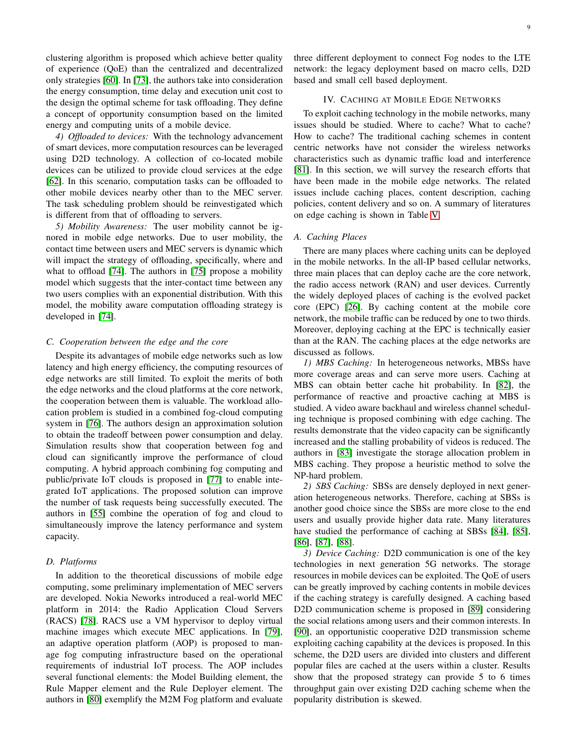clustering algorithm is proposed which achieve better quality of experience (QoE) than the centralized and decentralized only strategies [\[60\]](#page-18-13). In [\[73\]](#page-18-26), the authors take into consideration the energy consumption, time delay and execution unit cost to the design the optimal scheme for task offloading. They define a concept of opportunity consumption based on the limited energy and computing units of a mobile device.

*4) Offloaded to devices:* With the technology advancement of smart devices, more computation resources can be leveraged using D2D technology. A collection of co-located mobile devices can be utilized to provide cloud services at the edge [\[62\]](#page-18-15). In this scenario, computation tasks can be offloaded to other mobile devices nearby other than to the MEC server. The task scheduling problem should be reinvestigated which is different from that of offloading to servers.

*5) Mobility Awareness:* The user mobility cannot be ignored in mobile edge networks. Due to user mobility, the contact time between users and MEC servers is dynamic which will impact the strategy of offloading, specifically, where and what to offload [\[74\]](#page-18-27). The authors in [\[75\]](#page-18-28) propose a mobility model which suggests that the inter-contact time between any two users complies with an exponential distribution. With this model, the mobility aware computation offloading strategy is developed in [\[74\]](#page-18-27).

#### *C. Cooperation between the edge and the core*

Despite its advantages of mobile edge networks such as low latency and high energy efficiency, the computing resources of edge networks are still limited. To exploit the merits of both the edge networks and the cloud platforms at the core network, the cooperation between them is valuable. The workload allocation problem is studied in a combined fog-cloud computing system in [\[76\]](#page-18-29). The authors design an approximation solution to obtain the tradeoff between power consumption and delay. Simulation results show that cooperation between fog and cloud can significantly improve the performance of cloud computing. A hybrid approach combining fog computing and public/private IoT clouds is proposed in [\[77\]](#page-18-30) to enable integrated IoT applications. The proposed solution can improve the number of task requests being successfully executed. The authors in [\[55\]](#page-18-8) combine the operation of fog and cloud to simultaneously improve the latency performance and system capacity.

#### *D. Platforms*

In addition to the theoretical discussions of mobile edge computing, some preliminary implementation of MEC servers are developed. Nokia Neworks introduced a real-world MEC platform in 2014: the Radio Application Cloud Servers (RACS) [\[78\]](#page-18-31). RACS use a VM hypervisor to deploy virtual machine images which execute MEC applications. In [\[79\]](#page-18-32), an adaptive operation platform (AOP) is proposed to manage fog computing infrastructure based on the operational requirements of industrial IoT process. The AOP includes several functional elements: the Model Building element, the Rule Mapper element and the Rule Deployer element. The authors in [\[80\]](#page-18-33) exemplify the M2M Fog platform and evaluate

three different deployment to connect Fog nodes to the LTE network: the legacy deployment based on macro cells, D2D based and small cell based deployment.

### IV. CACHING AT MOBILE EDGE NETWORKS

<span id="page-8-0"></span>To exploit caching technology in the mobile networks, many issues should be studied. Where to cache? What to cache? How to cache? The traditional caching schemes in content centric networks have not consider the wireless networks characteristics such as dynamic traffic load and interference [\[81\]](#page-18-34). In this section, we will survey the research efforts that have been made in the mobile edge networks. The related issues include caching places, content description, caching policies, content delivery and so on. A summary of literatures on edge caching is shown in Table [V.](#page-10-0)

### *A. Caching Places*

There are many places where caching units can be deployed in the mobile networks. In the all-IP based cellular networks, three main places that can deploy cache are the core network, the radio access network (RAN) and user devices. Currently the widely deployed places of caching is the evolved packet core (EPC) [\[26\]](#page-17-25). By caching content at the mobile core network, the mobile traffic can be reduced by one to two thirds. Moreover, deploying caching at the EPC is technically easier than at the RAN. The caching places at the edge networks are discussed as follows.

*1) MBS Caching:* In heterogeneous networks, MBSs have more coverage areas and can serve more users. Caching at MBS can obtain better cache hit probability. In [\[82\]](#page-18-35), the performance of reactive and proactive caching at MBS is studied. A video aware backhaul and wireless channel scheduling technique is proposed combining with edge caching. The results demonstrate that the video capacity can be significantly increased and the stalling probability of videos is reduced. The authors in [\[83\]](#page-18-36) investigate the storage allocation problem in MBS caching. They propose a heuristic method to solve the NP-hard problem.

*2) SBS Caching:* SBSs are densely deployed in next generation heterogeneous networks. Therefore, caching at SBSs is another good choice since the SBSs are more close to the end users and usually provide higher data rate. Many literatures have studied the performance of caching at SBSs [\[84\]](#page-18-37), [\[85\]](#page-18-38), [\[86\]](#page-18-39), [\[87\]](#page-18-40), [\[88\]](#page-19-0).

*3) Device Caching:* D2D communication is one of the key technologies in next generation 5G networks. The storage resources in mobile devices can be exploited. The QoE of users can be greatly improved by caching contents in mobile devices if the caching strategy is carefully designed. A caching based D2D communication scheme is proposed in [\[89\]](#page-19-1) considering the social relations among users and their common interests. In [\[90\]](#page-19-2), an opportunistic cooperative D2D transmission scheme exploiting caching capability at the devices is proposed. In this scheme, the D2D users are divided into clusters and different popular files are cached at the users within a cluster. Results show that the proposed strategy can provide 5 to 6 times throughput gain over existing D2D caching scheme when the popularity distribution is skewed.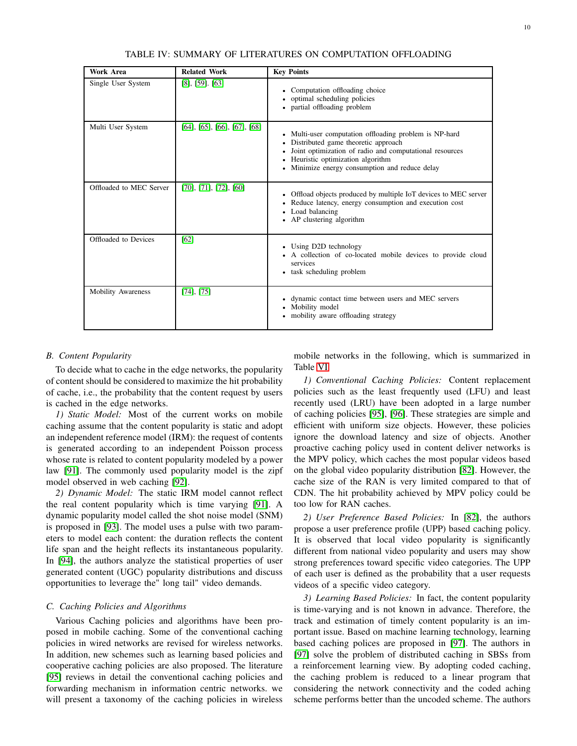| TABLE IV: SUMMARY OF LITERATURES ON COMPUTATION OFFLOADING |  |  |
|------------------------------------------------------------|--|--|
|                                                            |  |  |

<span id="page-9-0"></span>

| Work Area                 | <b>Related Work</b>                        | <b>Key Points</b>                                                                                                                                                                                                                              |
|---------------------------|--------------------------------------------|------------------------------------------------------------------------------------------------------------------------------------------------------------------------------------------------------------------------------------------------|
| Single User System        | $[8]$ , $[59]$ . $[63]$                    | • Computation offloading choice<br>optimal scheduling policies<br>• partial offloading problem                                                                                                                                                 |
| Multi User System         | $[64]$ , $[65]$ , $[66]$ , $[67]$ , $[68]$ | • Multi-user computation offloading problem is NP-hard<br>Distributed game theoretic approach<br>Joint optimization of radio and computational resources<br>Heuristic optimization algorithm<br>• Minimize energy consumption and reduce delay |
| Offloaded to MEC Server   | $[70]$ , $[71]$ , $[72]$ , $[60]$          | • Offload objects produced by multiple IoT devices to MEC server<br>• Reduce latency, energy consumption and execution cost<br>• Load balancing<br>• AP clustering algorithm                                                                   |
| Offloaded to Devices      | [62]                                       | • Using D2D technology<br>• A collection of co-located mobile devices to provide cloud<br>services<br>• task scheduling problem                                                                                                                |
| <b>Mobility Awareness</b> | $[74]$ , $[75]$                            | • dynamic contact time between users and MEC servers<br>• Mobility model<br>• mobility aware offloading strategy                                                                                                                               |

## *B. Content Popularity*

To decide what to cache in the edge networks, the popularity of content should be considered to maximize the hit probability of cache, i.e., the probability that the content request by users is cached in the edge networks.

*1) Static Model:* Most of the current works on mobile caching assume that the content popularity is static and adopt an independent reference model (IRM): the request of contents is generated according to an independent Poisson process whose rate is related to content popularity modeled by a power law [\[91\]](#page-19-3). The commonly used popularity model is the zipf model observed in web caching [\[92\]](#page-19-4).

*2) Dynamic Model:* The static IRM model cannot reflect the real content popularity which is time varying [\[91\]](#page-19-3). A dynamic popularity model called the shot noise model (SNM) is proposed in [\[93\]](#page-19-5). The model uses a pulse with two parameters to model each content: the duration reflects the content life span and the height reflects its instantaneous popularity. In [\[94\]](#page-19-6), the authors analyze the statistical properties of user generated content (UGC) popularity distributions and discuss opportunities to leverage the" long tail" video demands.

## *C. Caching Policies and Algorithms*

Various Caching policies and algorithms have been proposed in mobile caching. Some of the conventional caching policies in wired networks are revised for wireless networks. In addition, new schemes such as learning based policies and cooperative caching policies are also proposed. The literature [\[95\]](#page-19-7) reviews in detail the conventional caching policies and forwarding mechanism in information centric networks. we will present a taxonomy of the caching policies in wireless

mobile networks in the following, which is summarized in Table [VI.](#page-11-1)

*1) Conventional Caching Policies:* Content replacement policies such as the least frequently used (LFU) and least recently used (LRU) have been adopted in a large number of caching policies [\[95\]](#page-19-7), [\[96\]](#page-19-8). These strategies are simple and efficient with uniform size objects. However, these policies ignore the download latency and size of objects. Another proactive caching policy used in content deliver networks is the MPV policy, which caches the most popular videos based on the global video popularity distribution [\[82\]](#page-18-35). However, the cache size of the RAN is very limited compared to that of CDN. The hit probability achieved by MPV policy could be too low for RAN caches.

*2) User Preference Based Policies:* In [\[82\]](#page-18-35), the authors propose a user preference profile (UPP) based caching policy. It is observed that local video popularity is significantly different from national video popularity and users may show strong preferences toward specific video categories. The UPP of each user is defined as the probability that a user requests videos of a specific video category.

*3) Learning Based Policies:* In fact, the content popularity is time-varying and is not known in advance. Therefore, the track and estimation of timely content popularity is an important issue. Based on machine learning technology, learning based caching polices are proposed in [\[97\]](#page-19-9). The authors in [\[97\]](#page-19-9) solve the problem of distributed caching in SBSs from a reinforcement learning view. By adopting coded caching, the caching problem is reduced to a linear program that considering the network connectivity and the coded aching scheme performs better than the uncoded scheme. The authors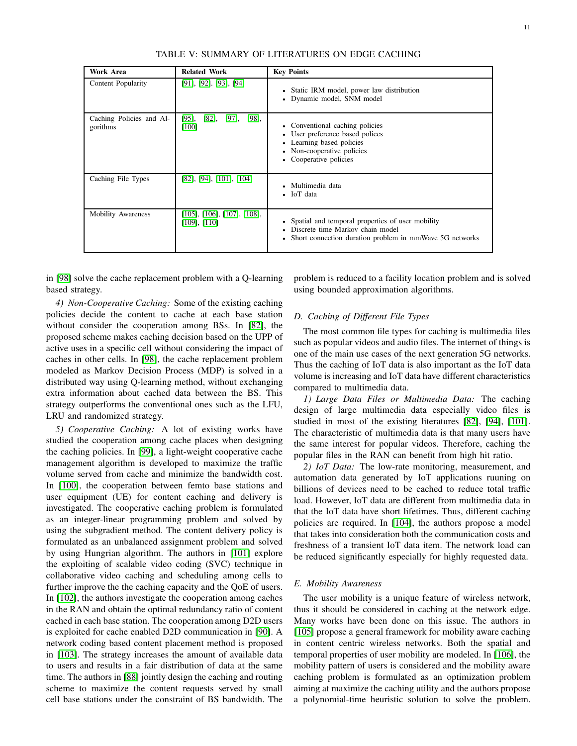<span id="page-10-0"></span>

| Work Area                            | <b>Related Work</b>                                          | <b>Key Points</b>                                                                                                                                       |
|--------------------------------------|--------------------------------------------------------------|---------------------------------------------------------------------------------------------------------------------------------------------------------|
| Content Popularity                   | $[91]$ , $[92]$ . $[93]$ , $[94]$                            | • Static IRM model, power law distribution<br>• Dynamic model, SNM model                                                                                |
| Caching Policies and Al-<br>gorithms | [95],<br>$[82]$ , $[97]$ ,<br>$[98]$ ,<br>$[100]$            | • Conventional caching policies<br>• User preference based polices<br>• Learning based policies<br>• Non-cooperative policies<br>• Cooperative policies |
| Caching File Types                   | $[82]$ , $[94]$ , $[101]$ , $[104]$                          | Multimedia data<br>$\bullet$ IoT data                                                                                                                   |
| <b>Mobility Awareness</b>            | $[105]$ , $[106]$ , $[107]$ , $[108]$ ,<br>$[109]$ , $[110]$ | • Spatial and temporal properties of user mobility<br>• Discrete time Markov chain model<br>• Short connection duration problem in mmWave 5G networks   |

TABLE V: SUMMARY OF LITERATURES ON EDGE CACHING

in [\[98\]](#page-19-10) solve the cache replacement problem with a Q-learning based strategy.

*4) Non-Cooperative Caching:* Some of the existing caching policies decide the content to cache at each base station without consider the cooperation among BSs. In [\[82\]](#page-18-35), the proposed scheme makes caching decision based on the UPP of active uses in a specific cell without considering the impact of caches in other cells. In [\[98\]](#page-19-10), the cache replacement problem modeled as Markov Decision Process (MDP) is solved in a distributed way using Q-learning method, without exchanging extra information about cached data between the BS. This strategy outperforms the conventional ones such as the LFU, LRU and randomized strategy.

*5) Cooperative Caching:* A lot of existing works have studied the cooperation among cache places when designing the caching policies. In [\[99\]](#page-19-20), a light-weight cooperative cache management algorithm is developed to maximize the traffic volume served from cache and minimize the bandwidth cost. In [\[100\]](#page-19-11), the cooperation between femto base stations and user equipment (UE) for content caching and delivery is investigated. The cooperative caching problem is formulated as an integer-linear programming problem and solved by using the subgradient method. The content delivery policy is formulated as an unbalanced assignment problem and solved by using Hungrian algorithm. The authors in [\[101\]](#page-19-12) explore the exploiting of scalable video coding (SVC) technique in collaborative video caching and scheduling among cells to further improve the the caching capacity and the QoE of users. In [\[102\]](#page-19-21), the authors investigate the cooperation among caches in the RAN and obtain the optimal redundancy ratio of content cached in each base station. The cooperation among D2D users is exploited for cache enabled D2D communication in [\[90\]](#page-19-2). A network coding based content placement method is proposed in [\[103\]](#page-19-22). The strategy increases the amount of available data to users and results in a fair distribution of data at the same time. The authors in [\[88\]](#page-19-0) jointly design the caching and routing scheme to maximize the content requests served by small cell base stations under the constraint of BS bandwidth. The problem is reduced to a facility location problem and is solved using bounded approximation algorithms.

## *D. Caching of Different File Types*

The most common file types for caching is multimedia files such as popular videos and audio files. The internet of things is one of the main use cases of the next generation 5G networks. Thus the caching of IoT data is also important as the IoT data volume is increasing and IoT data have different characteristics compared to multimedia data.

*1) Large Data Files or Multimedia Data:* The caching design of large multimedia data especially video files is studied in most of the existing literatures [\[82\]](#page-18-35), [\[94\]](#page-19-6), [\[101\]](#page-19-12). The characteristic of multimedia data is that many users have the same interest for popular videos. Therefore, caching the popular files in the RAN can benefit from high hit ratio.

*2) IoT Data:* The low-rate monitoring, measurement, and automation data generated by IoT applications ruuning on billions of devices need to be cached to reduce total traffic load. However, IoT data are different from multimedia data in that the IoT data have short lifetimes. Thus, different caching policies are required. In [\[104\]](#page-19-13), the authors propose a model that takes into consideration both the communication costs and freshness of a transient IoT data item. The network load can be reduced significantly especially for highly requested data.

#### *E. Mobility Awareness*

The user mobility is a unique feature of wireless network, thus it should be considered in caching at the network edge. Many works have been done on this issue. The authors in [\[105\]](#page-19-14) propose a general framework for mobility aware caching in content centric wireless networks. Both the spatial and temporal properties of user mobility are modeled. In [\[106\]](#page-19-15), the mobility pattern of users is considered and the mobility aware caching problem is formulated as an optimization problem aiming at maximize the caching utility and the authors propose a polynomial-time heuristic solution to solve the problem.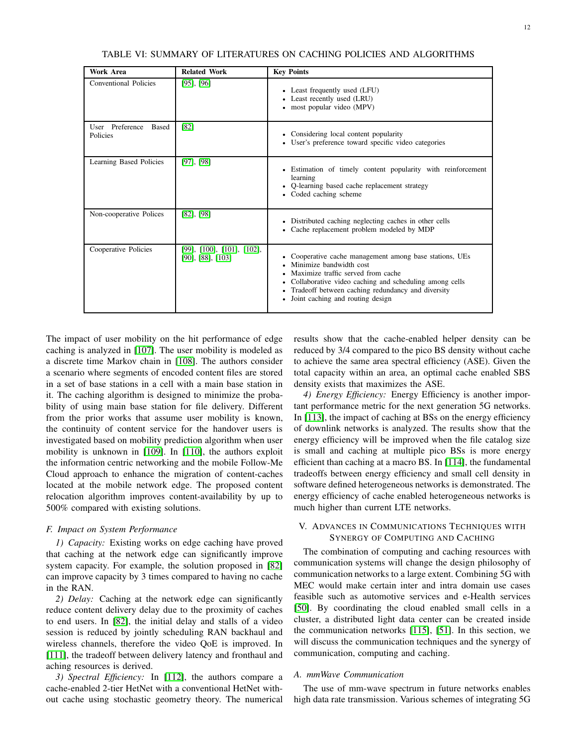<span id="page-11-1"></span>

| <b>Work Area</b>                     | <b>Related Work</b>                                         | <b>Key Points</b>                                                                                                                                                                                                                                                                   |
|--------------------------------------|-------------------------------------------------------------|-------------------------------------------------------------------------------------------------------------------------------------------------------------------------------------------------------------------------------------------------------------------------------------|
| Conventional Policies                | $[95]$ , $[96]$                                             | • Least frequently used (LFU)<br>• Least recently used (LRU)<br>• most popular video (MPV)                                                                                                                                                                                          |
| User Preference<br>Based<br>Policies | [82]                                                        | • Considering local content popularity<br>• User's preference toward specific video categories                                                                                                                                                                                      |
| Learning Based Policies              | $[97]$ , $[98]$                                             | • Estimation of timely content popularity with reinforcement<br>learning<br>Q-learning based cache replacement strategy<br>• Coded caching scheme                                                                                                                                   |
| Non-cooperative Polices              | $[82]$ , $[98]$                                             | • Distributed caching neglecting caches in other cells<br>• Cache replacement problem modeled by MDP                                                                                                                                                                                |
| Cooperative Policies                 | $[99]$ , $[100]$ , $[101]$ , $[102]$ ,<br>[90], [88], [103] | Cooperative cache management among base stations, UEs<br>Minimize bandwidth cost<br>Maximize traffic served from cache<br>Collaborative video caching and scheduling among cells<br>Tradeoff between caching redundancy and diversity<br>٠<br>Joint caching and routing design<br>٠ |

TABLE VI: SUMMARY OF LITERATURES ON CACHING POLICIES AND ALGORITHMS

The impact of user mobility on the hit performance of edge caching is analyzed in [\[107\]](#page-19-16). The user mobility is modeled as a discrete time Markov chain in [\[108\]](#page-19-17). The authors consider a scenario where segments of encoded content files are stored in a set of base stations in a cell with a main base station in it. The caching algorithm is designed to minimize the probability of using main base station for file delivery. Different from the prior works that assume user mobility is known, the continuity of content service for the handover users is investigated based on mobility prediction algorithm when user mobility is unknown in [\[109\]](#page-19-18). In [\[110\]](#page-19-19), the authors exploit the information centric networking and the mobile Follow-Me Cloud approach to enhance the migration of content-caches located at the mobile network edge. The proposed content relocation algorithm improves content-availability by up to 500% compared with existing solutions.

#### *F. Impact on System Performance*

*1) Capacity:* Existing works on edge caching have proved that caching at the network edge can significantly improve system capacity. For example, the solution proposed in [\[82\]](#page-18-35) can improve capacity by 3 times compared to having no cache in the RAN.

*2) Delay:* Caching at the network edge can significantly reduce content delivery delay due to the proximity of caches to end users. In [\[82\]](#page-18-35), the initial delay and stalls of a video session is reduced by jointly scheduling RAN backhaul and wireless channels, therefore the video QoE is improved. In [\[111\]](#page-19-23), the tradeoff between delivery latency and fronthaul and aching resources is derived.

*3) Spectral Efficiency:* In [\[112\]](#page-19-24), the authors compare a cache-enabled 2-tier HetNet with a conventional HetNet without cache using stochastic geometry theory. The numerical results show that the cache-enabled helper density can be reduced by 3/4 compared to the pico BS density without cache to achieve the same area spectral efficiency (ASE). Given the total capacity within an area, an optimal cache enabled SBS density exists that maximizes the ASE.

*4) Energy Efficiency:* Energy Efficiency is another important performance metric for the next generation 5G networks. In [\[113\]](#page-19-25), the impact of caching at BSs on the energy efficiency of downlink networks is analyzed. The results show that the energy efficiency will be improved when the file catalog size is small and caching at multiple pico BSs is more energy efficient than caching at a macro BS. In [\[114\]](#page-19-26), the fundamental tradeoffs between energy efficiency and small cell density in software defined heterogeneous networks is demonstrated. The energy efficiency of cache enabled heterogeneous networks is much higher than current LTE networks.

## <span id="page-11-0"></span>V. ADVANCES IN COMMUNICATIONS TECHNIQUES WITH SYNERGY OF COMPUTING AND CACHING

The combination of computing and caching resources with communication systems will change the design philosophy of communication networks to a large extent. Combining 5G with MEC would make certain inter and intra domain use cases feasible such as automotive services and e-Health services [\[50\]](#page-18-3). By coordinating the cloud enabled small cells in a cluster, a distributed light data center can be created inside the communication networks [\[115\]](#page-19-27), [\[51\]](#page-18-4). In this section, we will discuss the communication techniques and the synergy of communication, computing and caching.

# *A. mmWave Communication*

The use of mm-wave spectrum in future networks enables high data rate transmission. Various schemes of integrating 5G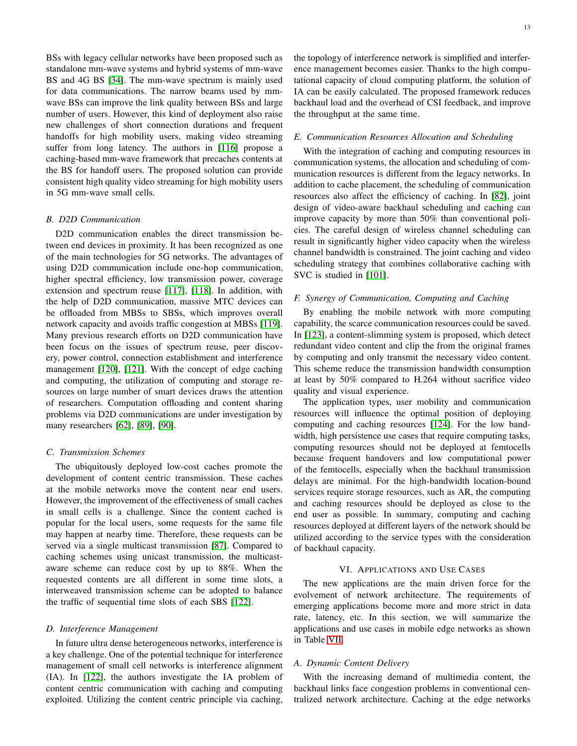BSs with legacy cellular networks have been proposed such as standalone mm-wave systems and hybrid systems of mm-wave BS and 4G BS [\[34\]](#page-17-33). The mm-wave spectrum is mainly used for data communications. The narrow beams used by mmwave BSs can improve the link quality between BSs and large number of users. However, this kind of deployment also raise new challenges of short connection durations and frequent handoffs for high mobility users, making video streaming suffer from long latency. The authors in [\[116\]](#page-19-28) propose a caching-based mm-wave framework that precaches contents at the BS for handoff users. The proposed solution can provide consistent high quality video streaming for high mobility users in 5G mm-wave small cells.

### *B. D2D Communication*

D2D communication enables the direct transmission between end devices in proximity. It has been recognized as one of the main technologies for 5G networks. The advantages of using D2D communication include one-hop communication, higher spectral efficiency, low transmission power, coverage extension and spectrum reuse [\[117\]](#page-19-29), [\[118\]](#page-19-30). In addition, with the help of D2D communication, massive MTC devices can be offloaded from MBSs to SBSs, which improves overall network capacity and avoids traffic congestion at MBSs [\[119\]](#page-19-31). Many previous research efforts on D2D communication have been focus on the issues of spectrum reuse, peer discovery, power control, connection establishment and interference management [\[120\]](#page-19-32), [\[121\]](#page-19-33). With the concept of edge caching and computing, the utilization of computing and storage resources on large number of smart devices draws the attention of researchers. Computation offloading and content sharing problems via D2D communications are under investigation by many researchers [\[62\]](#page-18-15), [\[89\]](#page-19-1), [\[90\]](#page-19-2).

## *C. Transmission Schemes*

The ubiquitously deployed low-cost caches promote the development of content centric transmission. These caches at the mobile networks move the content near end users. However, the improvement of the effectiveness of small caches in small cells is a challenge. Since the content cached is popular for the local users, some requests for the same file may happen at nearby time. Therefore, these requests can be served via a single multicast transmission [\[87\]](#page-18-40). Compared to caching schemes using unicast transmission, the multicastaware scheme can reduce cost by up to 88%. When the requested contents are all different in some time slots, a interweaved transmission scheme can be adopted to balance the traffic of sequential time slots of each SBS [\[122\]](#page-19-34).

#### *D. Interference Management*

In future ultra dense heterogeneous networks, interference is a key challenge. One of the potential technique for interference management of small cell networks is interference alignment (IA). In [\[122\]](#page-19-34), the authors investigate the IA problem of content centric communication with caching and computing exploited. Utilizing the content centric principle via caching,

the topology of interference network is simplified and interference management becomes easier. Thanks to the high computational capacity of cloud computing platform, the solution of IA can be easily calculated. The proposed framework reduces backhaul load and the overhead of CSI feedback, and improve the throughput at the same time.

## *E. Communication Resources Allocation and Scheduling*

With the integration of caching and computing resources in communication systems, the allocation and scheduling of communication resources is different from the legacy networks. In addition to cache placement, the scheduling of communication resources also affect the efficiency of caching. In [\[82\]](#page-18-35), joint design of video-aware backhaul scheduling and caching can improve capacity by more than 50% than conventional policies. The careful design of wireless channel scheduling can result in significantly higher video capacity when the wireless channel bandwidth is constrained. The joint caching and video scheduling strategy that combines collaborative caching with SVC is studied in [\[101\]](#page-19-12).

## *F. Synergy of Communication, Computing and Caching*

By enabling the mobile network with more computing capability, the scarce communication resources could be saved. In [\[123\]](#page-19-35), a content-slimming system is proposed, which detect redundant video content and clip the from the original frames by computing and only transmit the necessary video content. This scheme reduce the transmission bandwidth consumption at least by 50% compared to H.264 without sacrifice video quality and visual experience.

The application types, user mobility and communication resources will influence the optimal position of deploying computing and caching resources [\[124\]](#page-19-36). For the low bandwidth, high persistence use cases that require computing tasks, computing resources should not be deployed at femtocells because frequent handovers and low computational power of the femtocells, especially when the backhaul transmission delays are minimal. For the high-bandwidth location-bound services require storage resources, such as AR, the computing and caching resources should be deployed as close to the end user as possible. In summary, computing and caching resources deployed at different layers of the network should be utilized according to the service types with the consideration of backhaul capacity.

#### VI. APPLICATIONS AND USE CASES

<span id="page-12-0"></span>The new applications are the main driven force for the evolvement of network architecture. The requirements of emerging applications become more and more strict in data rate, latency, etc. In this section, we will summarize the applications and use cases in mobile edge networks as shown in Table [VII.](#page-15-0)

#### *A. Dynamic Content Delivery*

With the increasing demand of multimedia content, the backhaul links face congestion problems in conventional centralized network architecture. Caching at the edge networks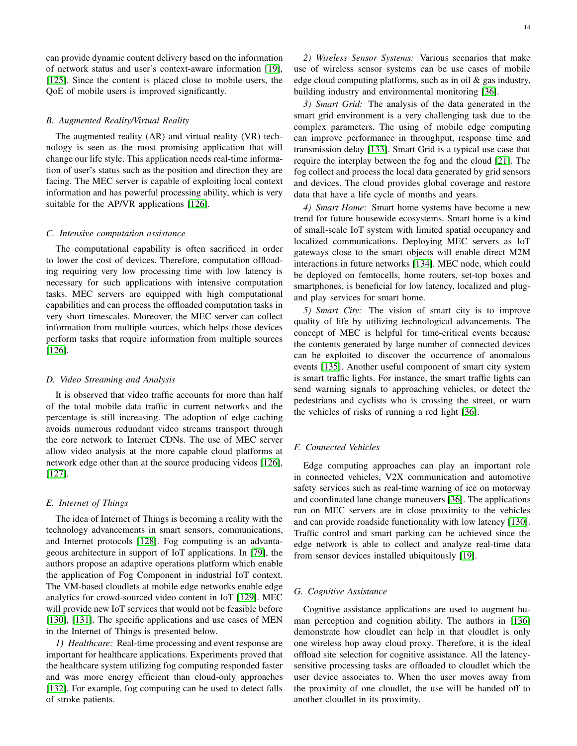can provide dynamic content delivery based on the information of network status and user's context-aware information [\[19\]](#page-17-18), [\[125\]](#page-19-37). Since the content is placed close to mobile users, the QoE of mobile users is improved significantly.

#### *B. Augmented Reality/Virtual Reality*

The augmented reality (AR) and virtual reality (VR) technology is seen as the most promising application that will change our life style. This application needs real-time information of user's status such as the position and direction they are facing. The MEC server is capable of exploiting local context information and has powerful processing ability, which is very suitable for the AP/VR applications [\[126\]](#page-19-38).

## *C. Intensive computation assistance*

The computational capability is often sacrificed in order to lower the cost of devices. Therefore, computation offloading requiring very low processing time with low latency is necessary for such applications with intensive computation tasks. MEC servers are equipped with high computational capabilities and can process the offloaded computation tasks in very short timescales. Moreover, the MEC server can collect information from multiple sources, which helps those devices perform tasks that require information from multiple sources [\[126\]](#page-19-38).

## *D. Video Streaming and Analysis*

It is observed that video traffic accounts for more than half of the total mobile data traffic in current networks and the percentage is still increasing. The adoption of edge caching avoids numerous redundant video streams transport through the core network to Internet CDNs. The use of MEC server allow video analysis at the more capable cloud platforms at network edge other than at the source producing videos [\[126\]](#page-19-38), [\[127\]](#page-19-39).

## *E. Internet of Things*

The idea of Internet of Things is becoming a reality with the technology advancements in smart sensors, communications, and Internet protocols [\[128\]](#page-19-40). Fog computing is an advantageous architecture in support of IoT applications. In [\[79\]](#page-18-32), the authors propose an adaptive operations platform which enable the application of Fog Component in industrial IoT context. The VM-based cloudlets at mobile edge networks enable edge analytics for crowd-sourced video content in IoT [\[129\]](#page-19-41). MEC will provide new IoT services that would not be feasible before [\[130\]](#page-19-42), [\[131\]](#page-19-43). The specific applications and use cases of MEN in the Internet of Things is presented below.

*1) Healthcare:* Real-time processing and event response are important for healthcare applications. Experiments proved that the healthcare system utilizing fog computing responded faster and was more energy efficient than cloud-only approaches [\[132\]](#page-20-0). For example, fog computing can be used to detect falls of stroke patients.

*2) Wireless Sensor Systems:* Various scenarios that make use of wireless sensor systems can be use cases of mobile edge cloud computing platforms, such as in oil  $\&$  gas industry, building industry and environmental monitoring [\[36\]](#page-17-35).

*3) Smart Grid:* The analysis of the data generated in the smart grid environment is a very challenging task due to the complex parameters. The using of mobile edge computing can improve performance in throughput, response time and transmission delay [\[133\]](#page-20-1). Smart Grid is a typical use case that require the interplay between the fog and the cloud [\[21\]](#page-17-20). The fog collect and process the local data generated by grid sensors and devices. The cloud provides global coverage and restore data that have a life cycle of months and years.

*4) Smart Home:* Smart home systems have become a new trend for future housewide ecosystems. Smart home is a kind of small-scale IoT system with limited spatial occupancy and localized communications. Deploying MEC servers as IoT gateways close to the smart objects will enable direct M2M interactions in future networks [\[134\]](#page-20-2). MEC node, which could be deployed on femtocells, home routers, set-top boxes and smartphones, is beneficial for low latency, localized and plugand play services for smart home.

*5) Smart City:* The vision of smart city is to improve quality of life by utilizing technological advancements. The concept of MEC is helpful for time-critical events because the contents generated by large number of connected devices can be exploited to discover the occurrence of anomalous events [\[135\]](#page-20-3). Another useful component of smart city system is smart traffic lights. For instance, the smart traffic lights can send warning signals to approaching vehicles, or detect the pedestrians and cyclists who is crossing the street, or warn the vehicles of risks of running a red light [\[36\]](#page-17-35).

## *F. Connected Vehicles*

Edge computing approaches can play an important role in connected vehicles, V2X communication and automotive safety services such as real-time warning of ice on motorway and coordinated lane change maneuvers [\[36\]](#page-17-35). The applications run on MEC servers are in close proximity to the vehicles and can provide roadside functionality with low latency [\[130\]](#page-19-42). Traffic control and smart parking can be achieved since the edge network is able to collect and analyze real-time data from sensor devices installed ubiquitously [\[19\]](#page-17-18).

#### *G. Cognitive Assistance*

Cognitive assistance applications are used to augment human perception and cognition ability. The authors in [\[136\]](#page-20-4) demonstrate how cloudlet can help in that cloudlet is only one wireless hop away cloud proxy. Therefore, it is the ideal offload site selection for cognitive assistance. All the latencysensitive processing tasks are offloaded to cloudlet which the user device associates to. When the user moves away from the proximity of one cloudlet, the use will be handed off to another cloudlet in its proximity.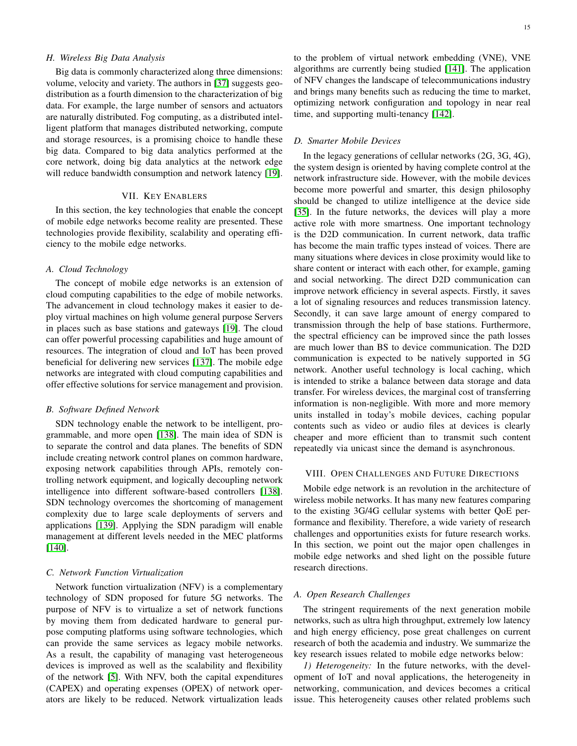## *H. Wireless Big Data Analysis*

Big data is commonly characterized along three dimensions: volume, velocity and variety. The authors in [\[37\]](#page-17-36) suggests geodistribution as a fourth dimension to the characterization of big data. For example, the large number of sensors and actuators are naturally distributed. Fog computing, as a distributed intelligent platform that manages distributed networking, compute and storage resources, is a promising choice to handle these big data. Compared to big data analytics performed at the core network, doing big data analytics at the network edge will reduce bandwidth consumption and network latency [\[19\]](#page-17-18).

## VII. KEY ENABLERS

<span id="page-14-0"></span>In this section, the key technologies that enable the concept of mobile edge networks become reality are presented. These technologies provide flexibility, scalability and operating efficiency to the mobile edge networks.

## *A. Cloud Technology*

The concept of mobile edge networks is an extension of cloud computing capabilities to the edge of mobile networks. The advancement in cloud technology makes it easier to deploy virtual machines on high volume general purpose Servers in places such as base stations and gateways [\[19\]](#page-17-18). The cloud can offer powerful processing capabilities and huge amount of resources. The integration of cloud and IoT has been proved beneficial for delivering new services [\[137\]](#page-20-5). The mobile edge networks are integrated with cloud computing capabilities and offer effective solutions for service management and provision.

#### *B. Software Defined Network*

SDN technology enable the network to be intelligent, programmable, and more open [\[138\]](#page-20-6). The main idea of SDN is to separate the control and data planes. The benefits of SDN include creating network control planes on common hardware, exposing network capabilities through APIs, remotely controlling network equipment, and logically decoupling network intelligence into different software-based controllers [\[138\]](#page-20-6). SDN technology overcomes the shortcoming of management complexity due to large scale deployments of servers and applications [\[139\]](#page-20-7). Applying the SDN paradigm will enable management at different levels needed in the MEC platforms [\[140\]](#page-20-8).

## *C. Network Function Virtualization*

Network function virtualization (NFV) is a complementary technology of SDN proposed for future 5G networks. The purpose of NFV is to virtualize a set of network functions by moving them from dedicated hardware to general purpose computing platforms using software technologies, which can provide the same services as legacy mobile networks. As a result, the capability of managing vast heterogeneous devices is improved as well as the scalability and flexibility of the network [\[5\]](#page-17-4). With NFV, both the capital expenditures (CAPEX) and operating expenses (OPEX) of network operators are likely to be reduced. Network virtualization leads

to the problem of virtual network embedding (VNE), VNE algorithms are currently being studied [\[141\]](#page-20-9). The application of NFV changes the landscape of telecommunications industry and brings many benefits such as reducing the time to market, optimizing network configuration and topology in near real time, and supporting multi-tenancy [\[142\]](#page-20-10).

#### *D. Smarter Mobile Devices*

In the legacy generations of cellular networks (2G, 3G, 4G), the system design is oriented by having complete control at the network infrastructure side. However, with the mobile devices become more powerful and smarter, this design philosophy should be changed to utilize intelligence at the device side [\[35\]](#page-17-34). In the future networks, the devices will play a more active role with more smartness. One important technology is the D2D communication. In current network, data traffic has become the main traffic types instead of voices. There are many situations where devices in close proximity would like to share content or interact with each other, for example, gaming and social networking. The direct D2D communication can improve network efficiency in several aspects. Firstly, it saves a lot of signaling resources and reduces transmission latency. Secondly, it can save large amount of energy compared to transmission through the help of base stations. Furthermore, the spectral efficiency can be improved since the path losses are much lower than BS to device communication. The D2D communication is expected to be natively supported in 5G network. Another useful technology is local caching, which is intended to strike a balance between data storage and data transfer. For wireless devices, the marginal cost of transferring information is non-negligible. With more and more memory units installed in today's mobile devices, caching popular contents such as video or audio files at devices is clearly cheaper and more efficient than to transmit such content repeatedly via unicast since the demand is asynchronous.

#### <span id="page-14-1"></span>VIII. OPEN CHALLENGES AND FUTURE DIRECTIONS

Mobile edge network is an revolution in the architecture of wireless mobile networks. It has many new features comparing to the existing 3G/4G cellular systems with better QoE performance and flexibility. Therefore, a wide variety of research challenges and opportunities exists for future research works. In this section, we point out the major open challenges in mobile edge networks and shed light on the possible future research directions.

## *A. Open Research Challenges*

The stringent requirements of the next generation mobile networks, such as ultra high throughput, extremely low latency and high energy efficiency, pose great challenges on current research of both the academia and industry. We summarize the key research issues related to mobile edge networks below:

*1) Heterogeneity:* In the future networks, with the development of IoT and noval applications, the heterogeneity in networking, communication, and devices becomes a critical issue. This heterogeneity causes other related problems such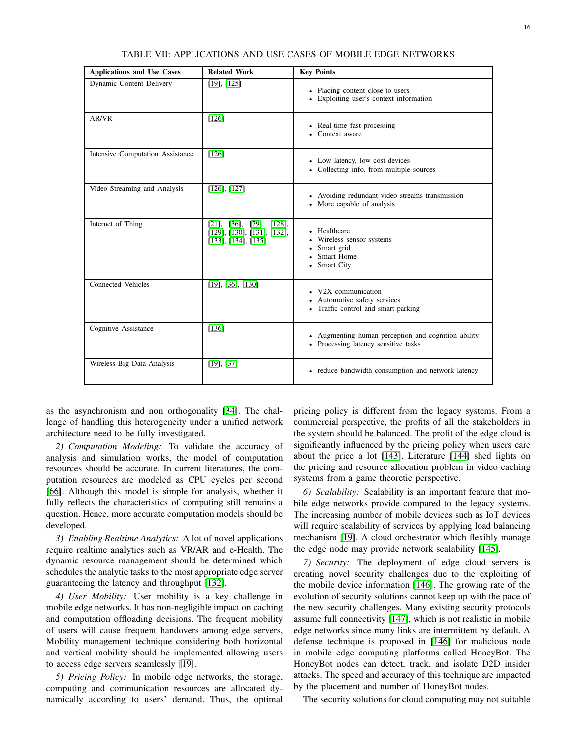<span id="page-15-0"></span>

| <b>Applications and Use Cases</b>       | <b>Related Work</b>                                                               | <b>Key Points</b>                                                                                    |
|-----------------------------------------|-----------------------------------------------------------------------------------|------------------------------------------------------------------------------------------------------|
| Dynamic Content Delivery                | $[19]$ , $[125]$                                                                  | • Placing content close to users<br>• Exploiting user's context information                          |
| AR/VR                                   | [126]                                                                             | • Real-time fast processing<br>Context aware                                                         |
| <b>Intensive Computation Assistance</b> | [126]                                                                             | • Low latency, low cost devices<br>• Collecting info. from multiple sources                          |
| Video Streaming and Analysis            | $[126]$ , $[127]$                                                                 | • Avoiding redundant video streams transmission<br>• More capable of analysis                        |
| Internet of Thing                       | [21], [36], [79], [128],<br>[129], [130], [131], [132],<br>$[133]$ , [134], [135] | • Healthcare<br>• Wireless sensor systems<br>• Smart grid<br>Smart Home<br>$\bullet$<br>• Smart City |
| Connected Vehicles                      | $[19]$ , $[36]$ , $[130]$                                                         | • V2X communication<br>• Automotive safety services<br>• Traffic control and smart parking           |
| Cognitive Assistance                    | [136]                                                                             | • Augmenting human perception and cognition ability<br>• Processing latency sensitive tasks          |
| Wireless Big Data Analysis              | [19], [37]                                                                        | • reduce bandwidth consumption and network latency                                                   |

TABLE VII: APPLICATIONS AND USE CASES OF MOBILE EDGE NETWORKS

as the asynchronism and non orthogonality [\[34\]](#page-17-33). The challenge of handling this heterogeneity under a unified network architecture need to be fully investigated.

*2) Computation Modeling:* To validate the accuracy of analysis and simulation works, the model of computation resources should be accurate. In current literatures, the computation resources are modeled as CPU cycles per second [\[66\]](#page-18-19). Although this model is simple for analysis, whether it fully reflects the characteristics of computing still remains a question. Hence, more accurate computation models should be developed.

*3) Enabling Realtime Analytics:* A lot of novel applications require realtime analytics such as VR/AR and e-Health. The dynamic resource management should be determined which schedules the analytic tasks to the most appropriate edge server guaranteeing the latency and throughput [\[132\]](#page-20-0).

*4) User Mobility:* User mobility is a key challenge in mobile edge networks. It has non-negligible impact on caching and computation offloading decisions. The frequent mobility of users will cause frequent handovers among edge servers, Mobility management technique considering both horizontal and vertical mobility should be implemented allowing users to access edge servers seamlessly [\[19\]](#page-17-18).

*5) Pricing Policy:* In mobile edge networks, the storage, computing and communication resources are allocated dynamically according to users' demand. Thus, the optimal

pricing policy is different from the legacy systems. From a commercial perspective, the profits of all the stakeholders in the system should be balanced. The profit of the edge cloud is significantly influenced by the pricing policy when users care about the price a lot [\[143\]](#page-20-11). Literature [\[144\]](#page-20-12) shed lights on the pricing and resource allocation problem in video caching systems from a game theoretic perspective.

*6) Scalability:* Scalability is an important feature that mobile edge networks provide compared to the legacy systems. The increasing number of mobile devices such as IoT devices will require scalability of services by applying load balancing mechanism [\[19\]](#page-17-18). A cloud orchestrator which flexibly manage the edge node may provide network scalability [\[145\]](#page-20-13).

*7) Security:* The deployment of edge cloud servers is creating novel security challenges due to the exploiting of the mobile device information [\[146\]](#page-20-14). The growing rate of the evolution of security solutions cannot keep up with the pace of the new security challenges. Many existing security protocols assume full connectivity [\[147\]](#page-20-15), which is not realistic in mobile edge networks since many links are intermittent by default. A defense technique is proposed in [\[146\]](#page-20-14) for malicious node in mobile edge computing platforms called HoneyBot. The HoneyBot nodes can detect, track, and isolate D2D insider attacks. The speed and accuracy of this technique are impacted by the placement and number of HoneyBot nodes.

The security solutions for cloud computing may not suitable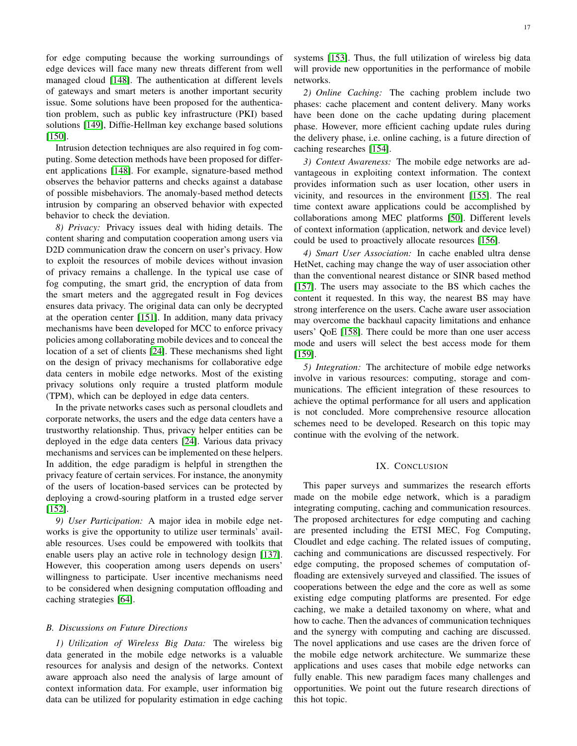for edge computing because the working surroundings of edge devices will face many new threats different from well managed cloud [\[148\]](#page-20-16). The authentication at different levels of gateways and smart meters is another important security issue. Some solutions have been proposed for the authentication problem, such as public key infrastructure (PKI) based solutions [\[149\]](#page-20-17), Diffie-Hellman key exchange based solutions [\[150\]](#page-20-18).

Intrusion detection techniques are also required in fog computing. Some detection methods have been proposed for different applications [\[148\]](#page-20-16). For example, signature-based method observes the behavior patterns and checks against a database of possible misbehaviors. The anomaly-based method detects intrusion by comparing an observed behavior with expected behavior to check the deviation.

*8) Privacy:* Privacy issues deal with hiding details. The content sharing and computation cooperation among users via D2D communication draw the concern on user's privacy. How to exploit the resources of mobile devices without invasion of privacy remains a challenge. In the typical use case of fog computing, the smart grid, the encryption of data from the smart meters and the aggregated result in Fog devices ensures data privacy. The original data can only be decrypted at the operation center [\[151\]](#page-20-19). In addition, many data privacy mechanisms have been developed for MCC to enforce privacy policies among collaborating mobile devices and to conceal the location of a set of clients [\[24\]](#page-17-23). These mechanisms shed light on the design of privacy mechanisms for collaborative edge data centers in mobile edge networks. Most of the existing privacy solutions only require a trusted platform module (TPM), which can be deployed in edge data centers.

In the private networks cases such as personal cloudlets and corporate networks, the users and the edge data centers have a trustworthy relationship. Thus, privacy helper entities can be deployed in the edge data centers [\[24\]](#page-17-23). Various data privacy mechanisms and services can be implemented on these helpers. In addition, the edge paradigm is helpful in strengthen the privacy feature of certain services. For instance, the anonymity of the users of location-based services can be protected by deploying a crowd-souring platform in a trusted edge server [\[152\]](#page-20-20).

*9) User Participation:* A major idea in mobile edge networks is give the opportunity to utilize user terminals' available resources. Uses could be empowered with toolkits that enable users play an active role in technology design [\[137\]](#page-20-5). However, this cooperation among users depends on users' willingness to participate. User incentive mechanisms need to be considered when designing computation offloading and caching strategies [\[64\]](#page-18-17).

#### *B. Discussions on Future Directions*

*1) Utilization of Wireless Big Data:* The wireless big data generated in the mobile edge networks is a valuable resources for analysis and design of the networks. Context aware approach also need the analysis of large amount of context information data. For example, user information big data can be utilized for popularity estimation in edge caching systems [\[153\]](#page-20-21). Thus, the full utilization of wireless big data will provide new opportunities in the performance of mobile networks.

*2) Online Caching:* The caching problem include two phases: cache placement and content delivery. Many works have been done on the cache updating during placement phase. However, more efficient caching update rules during the delivery phase, i.e. online caching, is a future direction of caching researches [\[154\]](#page-20-22).

*3) Context Awareness:* The mobile edge networks are advantageous in exploiting context information. The context provides information such as user location, other users in vicinity, and resources in the environment [\[155\]](#page-20-23). The real time context aware applications could be accomplished by collaborations among MEC platforms [\[50\]](#page-18-3). Different levels of context information (application, network and device level) could be used to proactively allocate resources [\[156\]](#page-20-24).

*4) Smart User Association:* In cache enabled ultra dense HetNet, caching may change the way of user association other than the conventional nearest distance or SINR based method [\[157\]](#page-20-25). The users may associate to the BS which caches the content it requested. In this way, the nearest BS may have strong interference on the users. Cache aware user association may overcome the backhaul capacity limitations and enhance users' QoE [\[158\]](#page-20-26). There could be more than one user access mode and users will select the best access mode for them [\[159\]](#page-20-27).

*5) Integration:* The architecture of mobile edge networks involve in various resources: computing, storage and communications. The efficient integration of these resources to achieve the optimal performance for all users and application is not concluded. More comprehensive resource allocation schemes need to be developed. Research on this topic may continue with the evolving of the network.

# IX. CONCLUSION

<span id="page-16-0"></span>This paper surveys and summarizes the research efforts made on the mobile edge network, which is a paradigm integrating computing, caching and communication resources. The proposed architectures for edge computing and caching are presented including the ETSI MEC, Fog Computing, Cloudlet and edge caching. The related issues of computing, caching and communications are discussed respectively. For edge computing, the proposed schemes of computation offloading are extensively surveyed and classified. The issues of cooperations between the edge and the core as well as some existing edge computing platforms are presented. For edge caching, we make a detailed taxonomy on where, what and how to cache. Then the advances of communication techniques and the synergy with computing and caching are discussed. The novel applications and use cases are the driven force of the mobile edge network architecture. We summarize these applications and uses cases that mobile edge networks can fully enable. This new paradigm faces many challenges and opportunities. We point out the future research directions of this hot topic.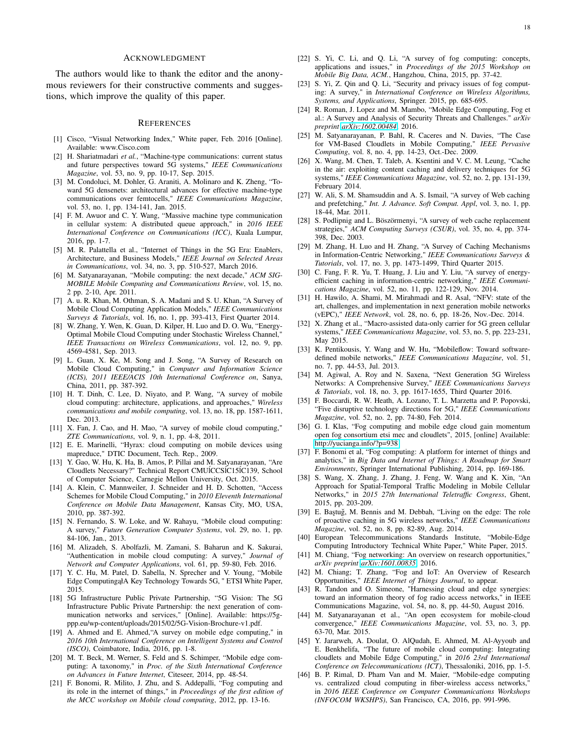#### ACKNOWLEDGMENT

The authors would like to thank the editor and the anonymous reviewers for their constructive comments and suggestions, which improve the quality of this paper.

#### **REFERENCES**

- <span id="page-17-1"></span><span id="page-17-0"></span>[1] Cisco, "Visual Networking Index," White paper, Feb. 2016 [Online]. Available: www.Cisco.com
- [2] H. Shariatmadari *et al.*, "Machine-type communications: current status and future perspectives toward 5G systems," *IEEE Communications Magazine*, vol. 53, no. 9, pp. 10-17, Sep. 2015.
- <span id="page-17-2"></span>[3] M. Condoluci, M. Dohler, G. Araniti, A. Molinaro and K. Zheng, "Toward 5G densenets: architectural advances for effective machine-type communications over femtocells," *IEEE Communications Magazine*, vol. 53, no. 1, pp. 134-141, Jan. 2015.
- <span id="page-17-3"></span>[4] F. M. Awuor and C. Y. Wang, "Massive machine type communication in cellular system: A distributed queue approach," in *2016 IEEE International Conference on Communications (ICC)*, Kuala Lumpur, 2016, pp. 1-7.
- <span id="page-17-4"></span>[5] M. R. Palattella et al., "Internet of Things in the 5G Era: Enablers, Architecture, and Business Models," *IEEE Journal on Selected Areas in Communications*, vol. 34, no. 3, pp. 510-527, March 2016.
- <span id="page-17-5"></span>[6] M. Satyanarayanan, "Mobile computing: the next decade," *ACM SIG-MOBILE Mobile Computing and Communications Review*, vol. 15, no. 2 pp. 2-10, Apr. 2011.
- <span id="page-17-6"></span>[7] A. u. R. Khan, M. Othman, S. A. Madani and S. U. Khan, "A Survey of Mobile Cloud Computing Application Models," *IEEE Communications Surveys & Tutorials*, vol. 16, no. 1, pp. 393-413, First Quarter 2014.
- <span id="page-17-7"></span>[8] W. Zhang, Y. Wen, K. Guan, D. Kilper, H. Luo and D. O. Wu, "Energy-Optimal Mobile Cloud Computing under Stochastic Wireless Channel," *IEEE Transactions on Wireless Communications*, vol. 12, no. 9, pp. 4569-4581, Sep. 2013.
- <span id="page-17-8"></span>[9] L. Guan, X. Ke, M. Song and J. Song, "A Survey of Research on Mobile Cloud Computing," in *Computer and Information Science (ICIS), 2011 IEEE/ACIS 10th International Conference on*, Sanya, China, 2011, pp. 387-392.
- <span id="page-17-9"></span>[10] H. T. Dinh, C. Lee, D. Niyato, and P. Wang, "A survey of mobile cloud computing: architecture, applications, and approaches," *Wireless communications and mobile computing*, vol. 13, no. 18, pp. 1587-1611, Dec. 2013.
- <span id="page-17-10"></span>[11] X. Fan, J. Cao, and H. Mao, "A survey of mobile cloud computing," *ZTE Communications*, vol. 9, n. 1, pp. 4-8, 2011.
- <span id="page-17-11"></span>[12] E. E. Marinelli, "Hyrax: cloud computing on mobile devices using mapreduce," DTIC Document, Tech. Rep., 2009.
- <span id="page-17-12"></span>[13] Y. Gao, W. Hu, K. Ha, B. Amos, P. Pillai and M. Satyanarayanan, "Are Cloudlets Necessary?" Technical Report CMUÍCCSÍC15ÍC139, School of Computer Science, Carnegie Mellon University, Oct. 2015.
- <span id="page-17-13"></span>[14] A. Klein, C. Mannweiler, J. Schneider and H. D. Schotten, "Access Schemes for Mobile Cloud Computing," in *2010 Eleventh International Conference on Mobile Data Management*, Kansas City, MO, USA, 2010, pp. 387-392.
- <span id="page-17-14"></span>[15] N. Fernando, S. W. Loke, and W. Rahayu, "Mobile cloud computing: A survey," *Future Generation Computer Systems*, vol. 29, no. 1, pp. 84-106, Jan., 2013.
- <span id="page-17-15"></span>[16] M. Alizadeh, S. Abolfazli, M. Zamani, S. Baharun and K. Sakurai, "Authentication in mobile cloud computing: A survey," *Journal of Network and Computer Applications*, vol. 61, pp. 59-80, Feb. 2016.
- <span id="page-17-16"></span>[17] Y. C. Hu, M. Patel, D. Sabella, N. Sprecher and V. Young, "Mobile Edge Computing al A Key Technology Towards 5G, " ETSI White Paper, 2015.
- <span id="page-17-17"></span>[18] 5G Infrastructure Public Private Partnership, "5G Vision: The 5G Infrastructure Public Private Partnership: the next generation of communication networks and services," [Online]. Available: https://5gppp.eu/wp-content/uploads/2015/02/5G-Vision-Brochure-v1.pdf.
- <span id="page-17-18"></span>[19] A. Ahmed and E. Ahmed, "A survey on mobile edge computing," in *2016 10th International Conference on Intelligent Systems and Control (ISCO)*, Coimbatore, India, 2016, pp. 1-8.
- <span id="page-17-19"></span>[20] M. T. Beck, M. Werner, S. Feld and S. Schimper, "Mobile edge computing: A taxonomy," in *Proc. of the Sixth International Conference on Advances in Future Internet*, Citeseer, 2014, pp. 48-54.
- <span id="page-17-20"></span>[21] F. Bonomi, R. Milito, J. Zhu, and S. Addepalli, "Fog computing and its role in the internet of things," in *Proceedings of the first edition of the MCC workshop on Mobile cloud computing*, 2012, pp. 13-16.
- <span id="page-17-21"></span>[22] S. Yi, C. Li, and Q. Li, "A survey of fog computing: concepts, applications and issues," in *Proceedings of the 2015 Workshop on Mobile Big Data, ACM.*, Hangzhou, China, 2015, pp. 37-42.
- <span id="page-17-22"></span>[23] S. Yi, Z. Qin and Q. Li, "Security and privacy issues of fog computing: A survey," in *International Conference on Wireless Algorithms, Systems, and Applications*, Springer. 2015, pp. 685-695.
- <span id="page-17-23"></span>[24] R. Roman, J. Lopez and M. Mambo, "Mobile Edge Computing, Fog et al.: A Survey and Analysis of Security Threats and Challenges." *arXiv preprint [arXiv:1602.00484](http://arxiv.org/abs/1602.00484)*, 2016.
- <span id="page-17-24"></span>[25] M. Satyanarayanan, P. Bahl, R. Caceres and N. Davies, "The Case for VM-Based Cloudlets in Mobile Computing," *IEEE Pervasive Computing*, vol. 8, no. 4, pp. 14-23, Oct.-Dec. 2009.
- <span id="page-17-25"></span>[26] X. Wang, M. Chen, T. Taleb, A. Ksentini and V. C. M. Leung, "Cache in the air: exploiting content caching and delivery techniques for 5G systems," *IEEE Communications Magazine*, vol. 52, no. 2, pp. 131-139, February 2014.
- <span id="page-17-26"></span>[27] W. Ali, S. M. Shamsuddin and A. S. Ismail, "A survey of Web caching and prefetching," *Int. J. Advance. Soft Comput. Appl*, vol. 3, no. 1, pp. 18-44, Mar. 2011.
- <span id="page-17-27"></span>[28] S. Podlipnig and L. Böszörmenyi, "A survey of web cache replacement strategies," *ACM Computing Surveys (CSUR)*, vol. 35, no. 4, pp. 374- 398, Dec. 2003.
- <span id="page-17-28"></span>[29] M. Zhang, H. Luo and H. Zhang, "A Survey of Caching Mechanisms in Information-Centric Networking," *IEEE Communications Surveys & Tutorials*, vol. 17, no. 3, pp. 1473-1499, Third Quarter 2015.
- <span id="page-17-29"></span>[30] C. Fang, F. R. Yu, T. Huang, J. Liu and Y. Liu, "A survey of energyefficient caching in information-centric networking," *IEEE Communications Magazine*, vol. 52, no. 11, pp. 122-129, Nov. 2014.
- <span id="page-17-30"></span>[31] H. Hawilo, A. Shami, M. Mirahmadi and R. Asal, "NFV: state of the art, challenges, and implementation in next generation mobile networks (vEPC)," *IEEE Network*, vol. 28, no. 6, pp. 18-26, Nov.-Dec. 2014.
- <span id="page-17-31"></span>[32] X. Zhang et al., "Macro-assisted data-only carrier for 5G green cellular systems," *IEEE Communications Magazine*, vol. 53, no. 5, pp. 223-231, May 2015.
- <span id="page-17-32"></span>[33] K. Pentikousis, Y. Wang and W. Hu, "Mobileflow: Toward softwaredefined mobile networks," *IEEE Communications Magazine*, vol. 51, no. 7, pp. 44-53, Jul. 2013.
- <span id="page-17-33"></span>[34] M. Agiwal, A. Roy and N. Saxena, "Next Generation 5G Wireless Networks: A Comprehensive Survey," *IEEE Communications Surveys & Tutorials*, vol. 18, no. 3, pp. 1617-1655, Third Quarter 2016.
- <span id="page-17-34"></span>[35] F. Boccardi, R. W. Heath, A. Lozano, T. L. Marzetta and P. Popovski, "Five disruptive technology directions for 5G," *IEEE Communications Magazine*, vol. 52, no. 2, pp. 74-80, Feb. 2014.
- <span id="page-17-35"></span>[36] G. I. Klas, "Fog computing and mobile edge cloud gain momentum open fog consortium etsi mec and cloudlets", 2015, [online] Available: [http://yucianga.info/?p=938.](http://yucianga.info/?p=938)
- <span id="page-17-36"></span>[37] F. Bonomi et al, "Fog computing: A platform for internet of things and analytics," in *Big Data and Internet of Things: A Roadmap for Smart Environments*, Springer International Publishing, 2014, pp. 169-186.
- <span id="page-17-37"></span>[38] S. Wang, X. Zhang, J. Zhang, J. Feng, W. Wang and K. Xin, "An Approach for Spatial-Temporal Traffic Modeling in Mobile Cellular Networks," in *2015 27th International Teletraffic Congress*, Ghent, 2015, pp. 203-209.
- <span id="page-17-38"></span>[39] E. Baştuğ, M. Bennis and M. Debbah, "Living on the edge: The role of proactive caching in 5G wireless networks," *IEEE Communications Magazine*, vol. 52, no. 8, pp. 82-89, Aug. 2014.
- <span id="page-17-39"></span>[40] European Telecommunications Standards Institute, "Mobile-Edge Computing Introductory Technical White Paper," White Paper, 2015.
- <span id="page-17-40"></span>[41] M. Chiang, "Fog networking: An overview on research opportunities," *arXiv preprint [arXiv:1601.00835](http://arxiv.org/abs/1601.00835)*, 2016.
- <span id="page-17-41"></span>[42] M. Chiang; T. Zhang, "Fog and IoT: An Overview of Research Opportunities," *IEEE Internet of Things Journal*, to appear.
- <span id="page-17-42"></span>[43] R. Tandon and O. Simeone, "Harnessing cloud and edge synergies: toward an information theory of fog radio access networks," in IEEE Communications Magazine, vol. 54, no. 8, pp. 44-50, August 2016.
- <span id="page-17-43"></span>[44] M. Satyanarayanan et al., "An open ecosystem for mobile-cloud convergence," *IEEE Communications Magazine*, vol. 53, no. 3, pp. 63-70, Mar. 2015.
- <span id="page-17-44"></span>[45] Y. Jararweh, A. Doulat, O. AlQudah, E. Ahmed, M. Al-Ayyoub and E. Benkhelifa, "The future of mobile cloud computing: Integrating cloudlets and Mobile Edge Computing," in *2016 23rd International Conference on Telecommunications (ICT)*, Thessaloniki, 2016, pp. 1-5.
- <span id="page-17-45"></span>[46] B. P. Rimal, D. Pham Van and M. Maier, "Mobile-edge computing vs. centralized cloud computing in fiber-wireless access networks," in *2016 IEEE Conference on Computer Communications Workshops (INFOCOM WKSHPS)*, San Francisco, CA, 2016, pp. 991-996.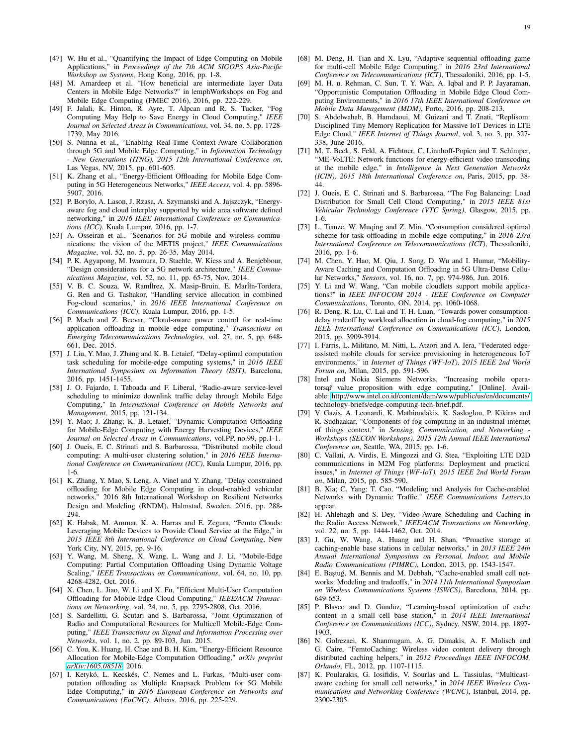- <span id="page-18-0"></span>[47] W. Hu et al., "Quantifying the Impact of Edge Computing on Mobile Applications," in *Proceedings of the 7th ACM SIGOPS Asia-Pacific Workshop on Systems*, Hong Kong, 2016, pp. 1-8.
- <span id="page-18-1"></span>[48] M. Amardeep et al. "How beneficial are intermediate layer Data Centers in Mobile Edge Networks?" in |emphWorkshops on Fog and Mobile Edge Computing (FMEC 2016), 2016, pp. 222-229.
- <span id="page-18-2"></span>[49] F. Jalali, K. Hinton, R. Ayre, T. Alpcan and R. S. Tucker, "Fog Computing May Help to Save Energy in Cloud Computing," *IEEE Journal on Selected Areas in Communications*, vol. 34, no. 5, pp. 1728- 1739, May 2016.
- <span id="page-18-3"></span>[50] S. Nunna et al., "Enabling Real-Time Context-Aware Collaboration through 5G and Mobile Edge Computing," in *Information Technology - New Generations (ITNG), 2015 12th International Conference on*, Las Vegas, NV, 2015, pp. 601-605.
- <span id="page-18-4"></span>[51] K. Zhang et al., "Energy-Efficient Offloading for Mobile Edge Computing in 5G Heterogeneous Networks," *IEEE Access*, vol. 4, pp. 5896- 5907, 2016.
- <span id="page-18-5"></span>[52] P. Borylo, A. Lason, J. Rzasa, A. Szymanski and A. Jajszczyk, "Energyaware fog and cloud interplay supported by wide area software defined networking," in *2016 IEEE International Conference on Communications (ICC)*, Kuala Lumpur, 2016, pp. 1-7.
- <span id="page-18-6"></span>[53] A. Osseiran et al., "Scenarios for 5G mobile and wireless communications: the vision of the METIS project," *IEEE Communications Magazine*, vol. 52, no. 5, pp. 26-35, May 2014.
- <span id="page-18-7"></span>[54] P. K. Agyapong, M. Iwamura, D. Staehle, W. Kiess and A. Benjebbour, "Design considerations for a 5G network architecture," *IEEE Communications Magazine*, vol. 52, no. 11, pp. 65-75, Nov. 2014.
- <span id="page-18-8"></span>[55] V. B. C. Souza, W. Ramíłrez, X. Masip-Bruin, E. Maríłn-Tordera, G. Ren and G. Tashakor, "Handling service allocation in combined Fog-cloud scenarios," in *2016 IEEE International Conference on Communications (ICC)*, Kuala Lumpur, 2016, pp. 1-5.
- <span id="page-18-9"></span>[56] P. Mach and Z. Becvar, "Cloud-aware power control for real-time application offloading in mobile edge computing," *Transactions on Emerging Telecommunications Technologies*, vol. 27, no. 5, pp. 648- 661, Dec. 2015.
- <span id="page-18-10"></span>[57] J. Liu, Y. Mao, J. Zhang and K. B. Letaief, "Delay-optimal computation task scheduling for mobile-edge computing systems," in *2016 IEEE International Symposium on Information Theory (ISIT)*, Barcelona, 2016, pp. 1451-1455.
- <span id="page-18-11"></span>[58] J. O. Fajardo, I. Taboada and F. Liberal, "Radio-aware service-level scheduling to minimize downlink traffic delay through Mobile Edge Computing," In *International Conference on Mobile Networks and Management*, 2015, pp. 121-134.
- <span id="page-18-12"></span>[59] Y. Mao; J. Zhang; K. B. Letaief, "Dynamic Computation Offloading for Mobile-Edge Computing with Energy Harvesting Devices," *IEEE Journal on Selected Areas in Communications*, vol.PP, no.99, pp.1-1.
- <span id="page-18-13"></span>[60] J. Oueis, E. C. Strinati and S. Barbarossa, "Distributed mobile cloud computing: A multi-user clustering solution," in *2016 IEEE International Conference on Communications (ICC)*, Kuala Lumpur, 2016, pp. 1-6.
- <span id="page-18-14"></span>[61] K. Zhang, Y. Mao, S. Leng, A. Vinel and Y. Zhang, "Delay constrained offloading for Mobile Edge Computing in cloud-enabled vehicular networks," 2016 8th International Workshop on Resilient Networks Design and Modeling (RNDM), Halmstad, Sweden, 2016, pp. 288- 294.
- <span id="page-18-15"></span>[62] K. Habak, M. Ammar, K. A. Harras and E. Zegura, "Femto Clouds: Leveraging Mobile Devices to Provide Cloud Service at the Edge," in *2015 IEEE 8th International Conference on Cloud Computing*, New York City, NY, 2015, pp. 9-16.
- <span id="page-18-16"></span>[63] Y. Wang, M. Sheng, X. Wang, L. Wang and J. Li, "Mobile-Edge Computing: Partial Computation Offloading Using Dynamic Voltage Scaling," *IEEE Transactions on Communications*, vol. 64, no. 10, pp. 4268-4282, Oct. 2016.
- <span id="page-18-17"></span>[64] X. Chen, L. Jiao, W. Li and X. Fu, "Efficient Multi-User Computation Offloading for Mobile-Edge Cloud Computing," *IEEE/ACM Transactions on Networking*, vol. 24, no. 5, pp. 2795-2808, Oct. 2016.
- <span id="page-18-18"></span>[65] S. Sardellitti, G. Scutari and S. Barbarossa, "Joint Optimization of Radio and Computational Resources for Multicell Mobile-Edge Computing," *IEEE Transactions on Signal and Information Processing over Networks*, vol. 1, no. 2, pp. 89-103, Jun. 2015.
- <span id="page-18-19"></span>[66] C. You, K. Huang, H. Chae and B. H. Kim, "Energy-Efficient Resource Allocation for Mobile-Edge Computation Offloading," *arXiv preprint [arXiv:1605.08518](http://arxiv.org/abs/1605.08518)*, 2016.
- <span id="page-18-20"></span>[67] I. Ketykó, L. Kecskés, C. Nemes and L. Farkas, "Multi-user computation offloading as Multiple Knapsack Problem for 5G Mobile Edge Computing," in *2016 European Conference on Networks and Communications (EuCNC)*, Athens, 2016, pp. 225-229.
- <span id="page-18-21"></span>[68] M. Deng, H. Tian and X. Lyu, "Adaptive sequential offloading game for multi-cell Mobile Edge Computing," in *2016 23rd International Conference on Telecommunications (ICT)*, Thessaloniki, 2016, pp. 1-5.
- <span id="page-18-22"></span>[69] M. H. u. Rehman, C. Sun, T. Y. Wah, A. Iqbal and P. P. Jayaraman, "Opportunistic Computation Offloading in Mobile Edge Cloud Computing Environments," in *2016 17th IEEE International Conference on Mobile Data Management (MDM)*, Porto, 2016, pp. 208-213.
- <span id="page-18-23"></span>[70] S. Abdelwahab, B. Hamdaoui, M. Guizani and T. Znati, "Replisom: Disciplined Tiny Memory Replication for Massive IoT Devices in LTE Edge Cloud," *IEEE Internet of Things Journal*, vol. 3, no. 3, pp. 327- 338, June 2016.
- <span id="page-18-24"></span>[71] M. T. Beck, S. Feld, A. Fichtner, C. Linnhoff-Popien and T. Schimper, "ME-VoLTE: Network functions for energy-efficient video transcoding at the mobile edge," in *Intelligence in Next Generation Networks (ICIN), 2015 18th International Conference on*, Paris, 2015, pp. 38- 44.
- <span id="page-18-25"></span>[72] J. Oueis, E. C. Strinati and S. Barbarossa, "The Fog Balancing: Load Distribution for Small Cell Cloud Computing," in *2015 IEEE 81st Vehicular Technology Conference (VTC Spring)*, Glasgow, 2015, pp. 1-6.
- <span id="page-18-26"></span>[73] L. Tianze, W. Muqing and Z. Min, "Consumption considered optimal scheme for task offloading in mobile edge computing," in *2016 23rd International Conference on Telecommunications (ICT)*, Thessaloniki, 2016, pp. 1-6.
- <span id="page-18-27"></span>[74] M. Chen, Y. Hao, M. Qiu, J. Song, D. Wu and I. Humar, "Mobility-Aware Caching and Computation Offloading in 5G Ultra-Dense Cellular Networks," *Sensors*, vol. 16, no. 7, pp. 974-986, Jun. 2016.
- <span id="page-18-28"></span>[75] Y. Li and W. Wang, "Can mobile cloudlets support mobile applications?" in *IEEE INFOCOM 2014 - IEEE Conference on Computer Communications*, Toronto, ON, 2014, pp. 1060-1068.
- <span id="page-18-29"></span>[76] R. Deng, R. Lu, C. Lai and T. H. Luan, "Towards power consumptiondelay tradeoff by workload allocation in cloud-fog computing," in *2015 IEEE International Conference on Communications (ICC)*, London, 2015, pp. 3909-3914.
- <span id="page-18-30"></span>[77] I. Farris, L. Militano, M. Nitti, L. Atzori and A. Iera, "Federated edgeassisted mobile clouds for service provisioning in heterogeneous IoT environments," in *Internet of Things (WF-IoT), 2015 IEEE 2nd World Forum on*, Milan, 2015, pp. 591-596.
- <span id="page-18-31"></span>[78] Intel and Nokia Siemens Networks, "Increasing mobile operatorsaf value proposition with edge computing," [Online]. Available:<http://www.intel.co.id/content/dam/www/public/us/en/documents/> technology-briefs/edge-computing-tech-brief.pdf.
- <span id="page-18-32"></span>[79] V. Gazis, A. Leonardi, K. Mathioudakis, K. Sasloglou, P. Kikiras and R. Sudhaakar, "Components of fog computing in an industrial internet of things context," in *Sensing, Communication, and Networking - Workshops (SECON Workshops), 2015 12th Annual IEEE International Conference on*, Seattle, WA, 2015, pp. 1-6.
- <span id="page-18-33"></span>[80] C. Vallati, A. Virdis, E. Mingozzi and G. Stea, "Exploiting LTE D2D communications in M2M Fog platforms: Deployment and practical issues," in *Internet of Things (WF-IoT), 2015 IEEE 2nd World Forum on*, Milan, 2015, pp. 585-590.
- <span id="page-18-34"></span>[81] B. Xia; C. Yang; T. Cao, "Modeling and Analysis for Cache-enabled Networks with Dynamic Traffic," *IEEE Communications Letters*,to appear.
- <span id="page-18-35"></span>[82] H. Ahlehagh and S. Dey, "Video-Aware Scheduling and Caching in the Radio Access Network," *IEEE/ACM Transactions on Networking*, vol. 22, no. 5, pp. 1444-1462, Oct. 2014.
- <span id="page-18-36"></span>[83] J. Gu, W. Wang, A. Huang and H. Shan, "Proactive storage at caching-enable base stations in cellular networks," in *2013 IEEE 24th Annual International Symposium on Personal, Indoor, and Mobile Radio Communications (PIMRC)*, London, 2013, pp. 1543-1547.
- <span id="page-18-37"></span>[84] E. Baştuğ, M. Bennis and M. Debbah, "Cache-enabled small cell networks: Modeling and tradeoffs," in *2014 11th International Symposium on Wireless Communications Systems (ISWCS)*, Barcelona, 2014, pp. 649-653.
- <span id="page-18-38"></span>[85] P. Blasco and D. Gündüz, "Learning-based optimization of cache content in a small cell base station," in *2014 IEEE International Conference on Communications (ICC)*, Sydney, NSW, 2014, pp. 1897- 1903.
- <span id="page-18-39"></span>[86] N. Golrezaei, K. Shanmugam, A. G. Dimakis, A. F. Molisch and G. Caire, "FemtoCaching: Wireless video content delivery through distributed caching helpers," in *2012 Proceedings IEEE INFOCOM, Orlando*, FL, 2012, pp. 1107-1115.
- <span id="page-18-40"></span>[87] K. Poularakis, G. Iosifidis, V. Sourlas and L. Tassiulas, "Multicastaware caching for small cell networks," in *2014 IEEE Wireless Communications and Networking Conference (WCNC)*, Istanbul, 2014, pp. 2300-2305.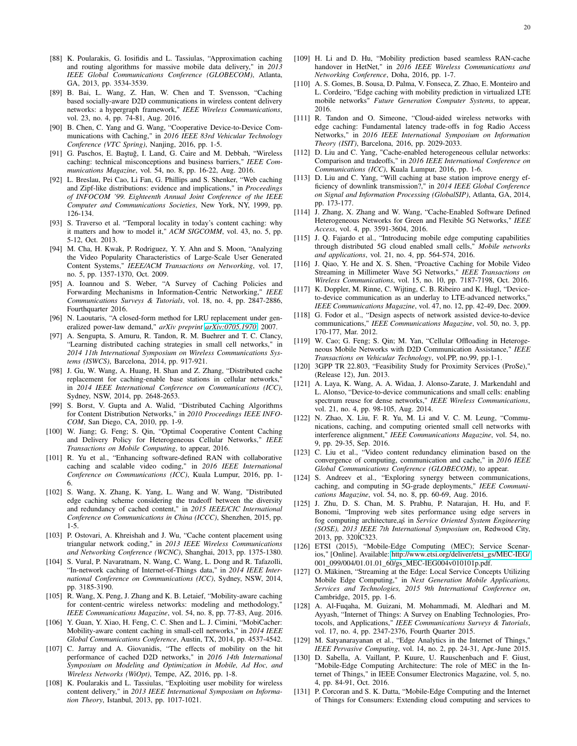- <span id="page-19-0"></span>[88] K. Poularakis, G. Iosifidis and L. Tassiulas, "Approximation caching and routing algorithms for massive mobile data delivery," in *2013 IEEE Global Communications Conference (GLOBECOM)*, Atlanta, GA, 2013, pp. 3534-3539.
- <span id="page-19-1"></span>[89] B. Bai, L. Wang, Z. Han, W. Chen and T. Svensson, "Caching based socially-aware D2D communications in wireless content delivery networks: a hypergraph framework," *IEEE Wireless Communications*, vol. 23, no. 4, pp. 74-81, Aug. 2016.
- <span id="page-19-2"></span>[90] B. Chen, C. Yang and G. Wang, "Cooperative Device-to-Device Communications with Caching," in *2016 IEEE 83rd Vehicular Technology Conference (VTC Spring)*, Nanjing, 2016, pp. 1-5.
- <span id="page-19-3"></span>[91] G. Paschos, E. Baştuğ, I. Land, G. Caire and M. Debbah, "Wireless caching: technical misconceptions and business barriers," *IEEE Communications Magazine*, vol. 54, no. 8, pp. 16-22, Aug. 2016.
- <span id="page-19-4"></span>[92] L. Breslau, Pei Cao, Li Fan, G. Phillips and S. Shenker, "Web caching and Zipf-like distributions: evidence and implications," in *Proceedings of INFOCOM '99. Eighteenth Annual Joint Conference of the IEEE Computer and Communications Societies*, New York, NY, 1999, pp. 126-134.
- <span id="page-19-5"></span>[93] S. Traverso et al. "Temporal locality in today's content caching: why it matters and how to model it," *ACM SIGCOMM*, vol. 43, no. 5, pp. 5-12, Oct. 2013.
- <span id="page-19-6"></span>[94] M. Cha, H. Kwak, P. Rodriguez, Y. Y. Ahn and S. Moon, "Analyzing the Video Popularity Characteristics of Large-Scale User Generated Content Systems," *IEEE/ACM Transactions on Networking*, vol. 17, no. 5, pp. 1357-1370, Oct. 2009.
- <span id="page-19-7"></span>[95] A. Ioannou and S. Weber, "A Survey of Caching Policies and Forwarding Mechanisms in Information-Centric Networking," *IEEE Communications Surveys & Tutorials*, vol. 18, no. 4, pp. 2847-2886, Fourthquarter 2016.
- <span id="page-19-8"></span>[96] N. Laoutaris, "A closed-form method for LRU replacement under generalized power-law demand," *arXiv preprint [arXiv:0705.1970](http://arxiv.org/abs/0705.1970)*, 2007.
- <span id="page-19-9"></span>[97] A. Sengupta, S. Amuru, R. Tandon, R. M. Buehrer and T. C. Clancy, "Learning distributed caching strategies in small cell networks," in *2014 11th International Symposium on Wireless Communications Systems (ISWCS)*, Barcelona, 2014, pp. 917-921.
- <span id="page-19-10"></span>[98] J. Gu, W. Wang, A. Huang, H. Shan and Z. Zhang, "Distributed cache replacement for caching-enable base stations in cellular networks," in *2014 IEEE International Conference on Communications (ICC)*, Sydney, NSW, 2014, pp. 2648-2653.
- <span id="page-19-20"></span>[99] S. Borst, V. Gupta and A. Walid, "Distributed Caching Algorithms for Content Distribution Networks," in *2010 Proceedings IEEE INFO-COM*, San Diego, CA, 2010, pp. 1-9.
- <span id="page-19-11"></span>[100] W. Jiang; G. Feng; S. Qin, "Optimal Cooperative Content Caching and Delivery Policy for Heterogeneous Cellular Networks," *IEEE Transactions on Mobile Computing*, to appear, 2016.
- <span id="page-19-12"></span>[101] R. Yu et al., "Enhancing software-defined RAN with collaborative caching and scalable video coding," in *2016 IEEE International Conference on Communications (ICC)*, Kuala Lumpur, 2016, pp. 1- 6.
- <span id="page-19-21"></span>[102] S. Wang, X. Zhang, K. Yang, L. Wang and W. Wang, "Distributed edge caching scheme considering the tradeoff between the diversity and redundancy of cached content," in *2015 IEEE/CIC International Conference on Communications in China (ICCC)*, Shenzhen, 2015, pp. 1-5.
- <span id="page-19-22"></span>[103] P. Ostovari, A. Khreishah and J. Wu, "Cache content placement using triangular network coding," in *2013 IEEE Wireless Communications and Networking Conference (WCNC)*, Shanghai, 2013, pp. 1375-1380.
- <span id="page-19-13"></span>[104] S. Vural, P. Navaratnam, N. Wang, C. Wang, L. Dong and R. Tafazolli, "In-network caching of Internet-of-Things data," in *2014 IEEE International Conference on Communications (ICC)*, Sydney, NSW, 2014, pp. 3185-3190.
- <span id="page-19-14"></span>[105] R. Wang, X. Peng, J. Zhang and K. B. Letaief, "Mobility-aware caching for content-centric wireless networks: modeling and methodology, *IEEE Communications Magazine*, vol. 54, no. 8, pp. 77-83, Aug. 2016.
- <span id="page-19-15"></span>[106] Y. Guan, Y. Xiao, H. Feng, C. C. Shen and L. J. Cimini, "MobiCacher: Mobility-aware content caching in small-cell networks," in *2014 IEEE Global Communications Conference*, Austin, TX, 2014, pp. 4537-4542.
- <span id="page-19-16"></span>[107] C. Jarray and A. Giovanidis, "The effects of mobility on the hit performance of cached D2D networks," in *2016 14th International Symposium on Modeling and Optimization in Mobile, Ad Hoc, and Wireless Networks (WiOpt)*, Tempe, AZ, 2016, pp. 1-8.
- <span id="page-19-17"></span>[108] K. Poularakis and L. Tassiulas, "Exploiting user mobility for wireless content delivery," in *2013 IEEE International Symposium on Information Theory*, Istanbul, 2013, pp. 1017-1021.
- <span id="page-19-18"></span>[109] H. Li and D. Hu, "Mobility prediction based seamless RAN-cache handover in HetNet," in *2016 IEEE Wireless Communications and Networking Conference*, Doha, 2016, pp. 1-7.
- <span id="page-19-19"></span>[110] A. S. Gomes, B. Sousa, D. Palma, V. Fonseca, Z. Zhao, E. Monteiro and L. Cordeiro, "Edge caching with mobility prediction in virtualized LTE mobile networks" *Future Generation Computer Systems*, to appear, 2016.
- <span id="page-19-23"></span>[111] R. Tandon and O. Simeone, "Cloud-aided wireless networks with edge caching: Fundamental latency trade-offs in fog Radio Access Networks," in *2016 IEEE International Symposium on Information Theory (ISIT)*, Barcelona, 2016, pp. 2029-2033.
- <span id="page-19-24"></span>[112] D. Liu and C. Yang, "Cache-enabled heterogeneous cellular networks: Comparison and tradeoffs," in *2016 IEEE International Conference on Communications (ICC)*, Kuala Lumpur, 2016, pp. 1-6.
- <span id="page-19-25"></span>[113] D. Liu and C. Yang, "Will caching at base station improve energy efficiency of downlink transmission?," in *2014 IEEE Global Conference on Signal and Information Processing (GlobalSIP)*, Atlanta, GA, 2014, pp. 173-177.
- <span id="page-19-26"></span>[114] J. Zhang, X. Zhang and W. Wang, "Cache-Enabled Software Defined Heterogeneous Networks for Green and Flexible 5G Networks," *IEEE Access*, vol. 4, pp. 3591-3604, 2016.
- <span id="page-19-27"></span>[115] J. Q. Fajardo et al., "Introducing mobile edge computing capabilities through distributed 5G cloud enabled small cells," *Mobile networks and applications*, vol. 21, no. 4, pp. 564-574, 2016.
- <span id="page-19-28"></span>[116] J. Qiao, Y. He and X. S. Shen, "Proactive Caching for Mobile Video Streaming in Millimeter Wave 5G Networks," *IEEE Transactions on Wireless Communications*, vol. 15, no. 10, pp. 7187-7198, Oct. 2016.
- <span id="page-19-29"></span>[117] K. Doppler, M. Rinne, C. Wijting, C. B. Ribeiro and K. Hugl, "Deviceto-device communication as an underlay to LTE-advanced networks," *IEEE Communications Magazine*, vol. 47, no. 12, pp. 42-49, Dec. 2009.
- <span id="page-19-30"></span>[118] G. Fodor et al., "Design aspects of network assisted device-to-device communications," *IEEE Communications Magazine*, vol. 50, no. 3, pp. 170-177, Mar. 2012.
- <span id="page-19-31"></span>[119] W. Cao; G. Feng; S. Qin; M. Yan, "Cellular Offloading in Heterogeneous Mobile Networks with D2D Communication Assistance," *IEEE Transactions on Vehicular Technology*, vol.PP, no.99, pp.1-1.
- <span id="page-19-32"></span>[120] 3GPP TR 22.803, "Feasibility Study for Proximity Services (ProSe)," (Release 12), Jun. 2013.
- <span id="page-19-33"></span>[121] A. Laya, K. Wang, A. A. Widaa, J. Alonso-Zarate, J. Markendahl and L. Alonso, "Device-to-device communications and small cells: enabling spectrum reuse for dense networks," *IEEE Wireless Communications*, vol. 21, no. 4, pp. 98-105, Aug. 2014.
- <span id="page-19-34"></span>[122] N. Zhao, X. Liu, F. R. Yu, M. Li and V. C. M. Leung, "Communications, caching, and computing oriented small cell networks with interference alignment," *IEEE Communications Magazine*, vol. 54, no. 9, pp. 29-35, Sep. 2016.
- <span id="page-19-35"></span>[123] C. Liu et al., "Video content redundancy elimination based on the convergence of computing, communication and cache," in *2016 IEEE Global Communications Conference (GLOBECOM)*, to appear.
- <span id="page-19-36"></span>[124] S. Andreev et al., "Exploring synergy between communications, caching, and computing in 5G-grade deployments," *IEEE Communications Magazine*, vol. 54, no. 8, pp. 60-69, Aug. 2016.
- <span id="page-19-37"></span>[125] J. Zhu, D. S. Chan, M. S. Prabhu, P. Natarajan, H. Hu, and F. Bonomi, "Improving web sites performance using edge servers in fog computing architecture, ˛as in ´ *Service Oriented System Engineering (SOSE), 2013 IEEE 7th International Symposium on*, Redwood City, 2013, pp. 320ÍC323.
- <span id="page-19-38"></span>[126] ETSI (2015), "Mobile-Edge Computing (MEC); Service Scenarios," [Online]. Available: [http://www.etsi.org/deliver/etsi\\_gs/MEC-IEG/](http://www.etsi.org/deliver/etsi_gs/MEC-IEG/) 001\_099/004/01.01.01\_60/gs\_MEC-IEG004v010101p.pdf.
- <span id="page-19-39"></span>[127] O. Mäkinen, "Streaming at the Edge: Local Service Concepts Utilizing Mobile Edge Computing," in *Next Generation Mobile Applications, Services and Technologies, 2015 9th International Conference on*, Cambridge, 2015, pp. 1-6.
- <span id="page-19-40"></span>[128] A. Al-Fuqaha, M. Guizani, M. Mohammadi, M. Aledhari and M. Ayyash, "Internet of Things: A Survey on Enabling Technologies, Protocols, and Applications," *IEEE Communications Surveys & Tutorials*, vol. 17, no. 4, pp. 2347-2376, Fourth Quarter 2015.
- <span id="page-19-41"></span>[129] M. Satyanarayanan et al., "Edge Analytics in the Internet of Things," *IEEE Pervasive Computing*, vol. 14, no. 2, pp. 24-31, Apr.-June 2015.
- <span id="page-19-42"></span>[130] D. Sabella, A. Vaillant, P. Kuure, U. Rauschenbach and F. Giust, "Mobile-Edge Computing Architecture: The role of MEC in the Internet of Things," in IEEE Consumer Electronics Magazine, vol. 5, no. 4, pp. 84-91, Oct. 2016.
- <span id="page-19-43"></span>[131] P. Corcoran and S. K. Datta, "Mobile-Edge Computing and the Internet of Things for Consumers: Extending cloud computing and services to